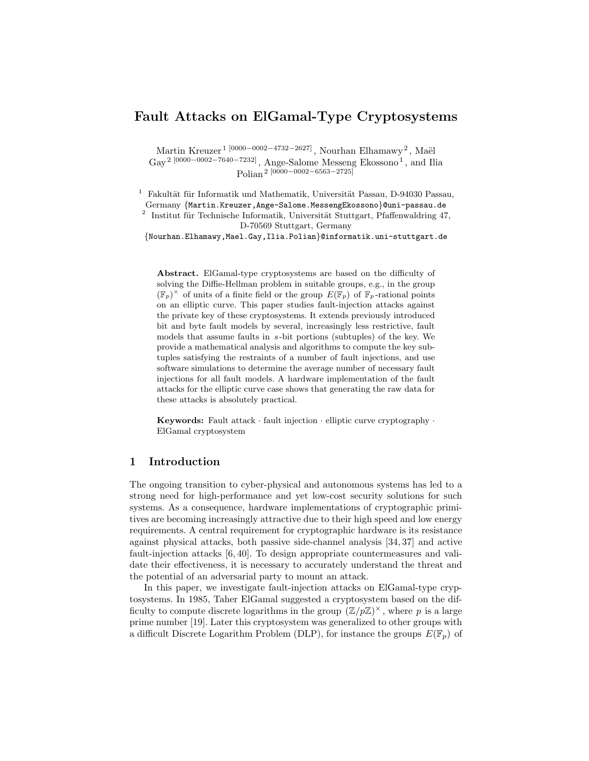# **Fault Attacks on ElGamal-Type Cryptosystems**

Martin Kreuzer<sup>1 [0000−0002−4732−2627], Nourhan Elhamawy<sup>2</sup>, Maël</sup> Gay<sup>2</sup> [0000−0002−7640−7232], Ange-Salome Messeng Ekossono<sup>1</sup>, and Ilia Polian 2 [0000*−*0002*−*6563*−*2725]

Fakultät für Informatik und Mathematik, Universität Passau, D-94030 Passau, Germany *{*Martin.Kreuzer,Ange-Salome.MessengEkossono*}*@uni-passau.de

2 Institut für Technische Informatik, Universität Stuttgart, Pfaffenwaldring 47, D-70569 Stuttgart, Germany

*{*Nourhan.Elhamawy,Mael.Gay,Ilia.Polian*}*@informatik.uni-stuttgart.de

**Abstract.** ElGamal-type cryptosystems are based on the difficulty of solving the Diffie-Hellman problem in suitable groups, e.g., in the group  $(\mathbb{F}_p)^{\times}$  of units of a finite field or the group  $E(\mathbb{F}_p)$  of  $\mathbb{F}_p$ -rational points on an elliptic curve. This paper studies fault-injection attacks against the private key of these cryptosystems. It extends previously introduced bit and byte fault models by several, increasingly less restrictive, fault models that assume faults in *s*-bit portions (subtuples) of the key. We provide a mathematical analysis and algorithms to compute the key subtuples satisfying the restraints of a number of fault injections, and use software simulations to determine the average number of necessary fault injections for all fault models. A hardware implementation of the fault attacks for the elliptic curve case shows that generating the raw data for these attacks is absolutely practical.

**Keywords:** Fault attack *·* fault injection *·* elliptic curve cryptography *·* ElGamal cryptosystem

# **1 Introduction**

The ongoing transition to cyber-physical and autonomous systems has led to a strong need for high-performance and yet low-cost security solutions for such systems. As a consequence, hardware implementations of cryptographic primitives are becoming increasingly attractive due to their high speed and low energy requirements. A central requirement for cryptographic hardware is its resistance against physical attacks, both passive side-channel analysis [34, 37] and active fault-injection attacks [6, 40]. To design appropriate countermeasures and validate their effectiveness, it is necessary to accurately understand the threat and the potential of an adversarial party to mount an attack.

In this paper, we investigate fault-injection attacks on ElGamal-type cryptosystems. In 1985, Taher ElGamal suggested a cryptosystem based on the difficulty to compute discrete logarithms in the group  $(\mathbb{Z}/p\mathbb{Z})^{\times}$ , where p is a large prime number [19]. Later this cryptosystem was generalized to other groups with a difficult Discrete Logarithm Problem (DLP), for instance the groups  $E(\mathbb{F}_p)$  of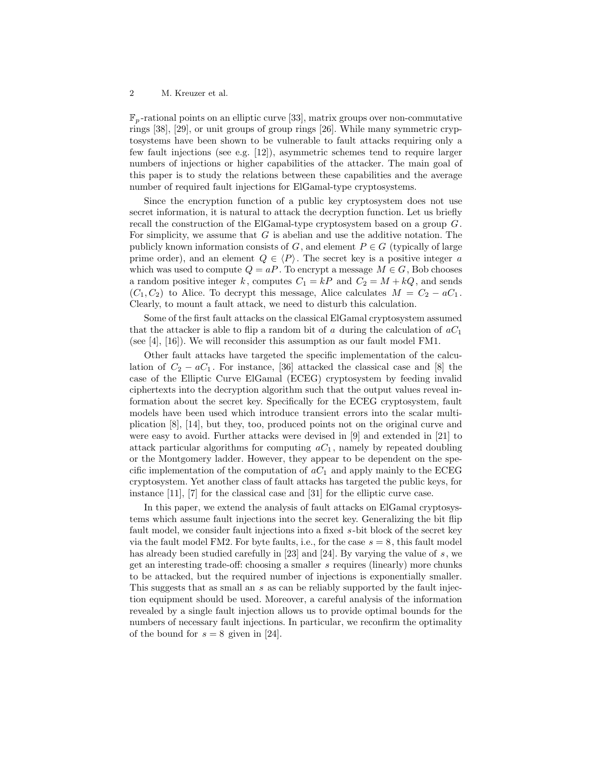F*<sup>p</sup>* -rational points on an elliptic curve [33], matrix groups over non-commutative rings [38], [29], or unit groups of group rings [26]. While many symmetric cryptosystems have been shown to be vulnerable to fault attacks requiring only a few fault injections (see e.g. [12]), asymmetric schemes tend to require larger numbers of injections or higher capabilities of the attacker. The main goal of this paper is to study the relations between these capabilities and the average number of required fault injections for ElGamal-type cryptosystems.

Since the encryption function of a public key cryptosystem does not use secret information, it is natural to attack the decryption function. Let us briefly recall the construction of the ElGamal-type cryptosystem based on a group *G*. For simplicity, we assume that *G* is abelian and use the additive notation. The publicly known information consists of *G*, and element  $P \in G$  (typically of large prime order), and an element  $Q \in \langle P \rangle$ . The secret key is a positive integer *a* which was used to compute  $Q = aP$ . To encrypt a message  $M \in G$ , Bob chooses a random positive integer *k*, computes  $C_1 = kP$  and  $C_2 = M + kQ$ , and sends  $(C_1, C_2)$  to Alice. To decrypt this message, Alice calculates  $M = C_2 - aC_1$ . Clearly, to mount a fault attack, we need to disturb this calculation.

Some of the first fault attacks on the classical ElGamal cryptosystem assumed that the attacker is able to flip a random bit of *a* during the calculation of *aC*<sup>1</sup> (see  $[4]$ ,  $[16]$ ). We will reconsider this assumption as our fault model FM1.

Other fault attacks have targeted the specific implementation of the calculation of  $C_2 - aC_1$ . For instance, [36] attacked the classical case and [8] the case of the Elliptic Curve ElGamal (ECEG) cryptosystem by feeding invalid ciphertexts into the decryption algorithm such that the output values reveal information about the secret key. Specifically for the ECEG cryptosystem, fault models have been used which introduce transient errors into the scalar multiplication [8], [14], but they, too, produced points not on the original curve and were easy to avoid. Further attacks were devised in [9] and extended in [21] to attack particular algorithms for computing  $aC_1$ , namely by repeated doubling or the Montgomery ladder. However, they appear to be dependent on the specific implementation of the computation of  $aC_1$  and apply mainly to the ECEG cryptosystem. Yet another class of fault attacks has targeted the public keys, for instance [11], [7] for the classical case and [31] for the elliptic curve case.

In this paper, we extend the analysis of fault attacks on ElGamal cryptosystems which assume fault injections into the secret key. Generalizing the bit flip fault model, we consider fault injections into a fixed *s*-bit block of the secret key via the fault model FM2. For byte faults, i.e., for the case *s* = 8, this fault model has already been studied carefully in [23] and [24]. By varying the value of *s*, we get an interesting trade-off: choosing a smaller *s* requires (linearly) more chunks to be attacked, but the required number of injections is exponentially smaller. This suggests that as small an *s* as can be reliably supported by the fault injection equipment should be used. Moreover, a careful analysis of the information revealed by a single fault injection allows us to provide optimal bounds for the numbers of necessary fault injections. In particular, we reconfirm the optimality of the bound for  $s = 8$  given in [24].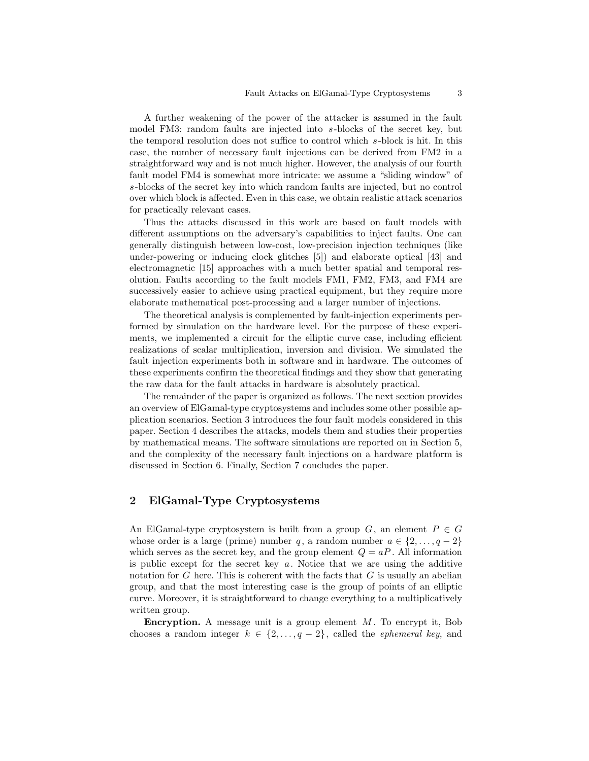A further weakening of the power of the attacker is assumed in the fault model FM3: random faults are injected into *s*-blocks of the secret key, but the temporal resolution does not suffice to control which *s*-block is hit. In this case, the number of necessary fault injections can be derived from FM2 in a straightforward way and is not much higher. However, the analysis of our fourth fault model FM4 is somewhat more intricate: we assume a "sliding window" of *s*-blocks of the secret key into which random faults are injected, but no control over which block is affected. Even in this case, we obtain realistic attack scenarios for practically relevant cases.

Thus the attacks discussed in this work are based on fault models with different assumptions on the adversary's capabilities to inject faults. One can generally distinguish between low-cost, low-precision injection techniques (like under-powering or inducing clock glitches [5]) and elaborate optical [43] and electromagnetic [15] approaches with a much better spatial and temporal resolution. Faults according to the fault models FM1, FM2, FM3, and FM4 are successively easier to achieve using practical equipment, but they require more elaborate mathematical post-processing and a larger number of injections.

The theoretical analysis is complemented by fault-injection experiments performed by simulation on the hardware level. For the purpose of these experiments, we implemented a circuit for the elliptic curve case, including efficient realizations of scalar multiplication, inversion and division. We simulated the fault injection experiments both in software and in hardware. The outcomes of these experiments confirm the theoretical findings and they show that generating the raw data for the fault attacks in hardware is absolutely practical.

The remainder of the paper is organized as follows. The next section provides an overview of ElGamal-type cryptosystems and includes some other possible application scenarios. Section 3 introduces the four fault models considered in this paper. Section 4 describes the attacks, models them and studies their properties by mathematical means. The software simulations are reported on in Section 5, and the complexity of the necessary fault injections on a hardware platform is discussed in Section 6. Finally, Section 7 concludes the paper.

# **2 ElGamal-Type Cryptosystems**

An ElGamal-type cryptosystem is built from a group  $G$ , an element  $P \in G$ whose order is a large (prime) number *q*, a random number  $a \in \{2, \ldots, q-2\}$ which serves as the secret key, and the group element  $Q = aP$ . All information is public except for the secret key *a*. Notice that we are using the additive notation for *G* here. This is coherent with the facts that *G* is usually an abelian group, and that the most interesting case is the group of points of an elliptic curve. Moreover, it is straightforward to change everything to a multiplicatively written group.

**Encryption.** A message unit is a group element *M* . To encrypt it, Bob chooses a random integer  $k \in \{2, \ldots, q-2\}$ , called the *ephemeral key*, and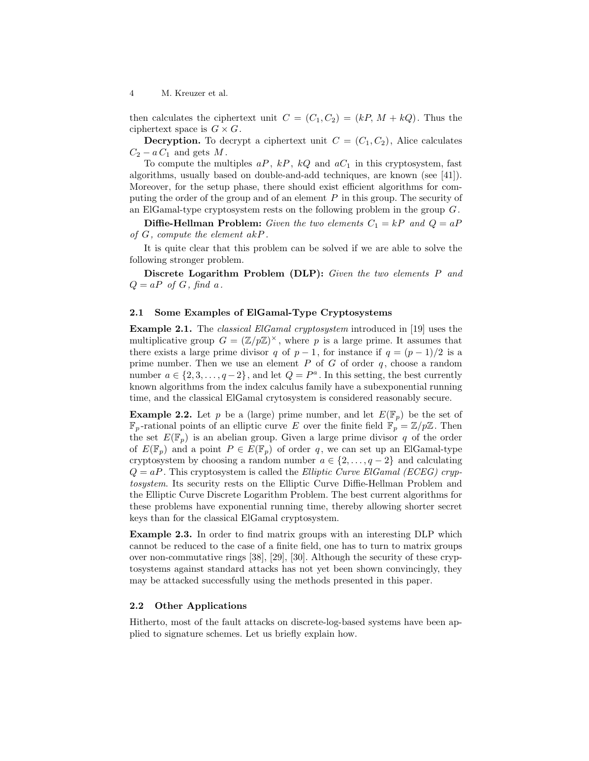then calculates the ciphertext unit  $C = (C_1, C_2) = (kP, M + kQ)$ . Thus the ciphertext space is  $G \times G$ .

**Decryption.** To decrypt a ciphertext unit  $C = (C_1, C_2)$ , Alice calculates  $C_2 - a C_1$  and gets  $M$ .

To compute the multiples  $aP$ ,  $kP$ ,  $kQ$  and  $aC<sub>1</sub>$  in this cryptosystem, fast algorithms, usually based on double-and-add techniques, are known (see [41]). Moreover, for the setup phase, there should exist efficient algorithms for computing the order of the group and of an element *P* in this group. The security of an ElGamal-type cryptosystem rests on the following problem in the group *G*.

**Diffie-Hellman Problem:** *Given the two elements*  $C_1 = kP$  *and*  $Q = aP$ *of G, compute the element akP .*

It is quite clear that this problem can be solved if we are able to solve the following stronger problem.

**Discrete Logarithm Problem (DLP):** *Given the two elements P and*  $Q = aP$  *of*  $G$ *, find*  $a$ *.* 

#### **2.1 Some Examples of ElGamal-Type Cryptosystems**

**Example 2.1.** The *classical ElGamal cryptosystem* introduced in [19] uses the multiplicative group  $G = (\mathbb{Z}/p\mathbb{Z})^{\times}$ , where p is a large prime. It assumes that there exists a large prime divisor *q* of  $p-1$ , for instance if  $q = (p-1)/2$  is a prime number. Then we use an element  $P$  of  $G$  of order  $q$ , choose a random number  $a \in \{2, 3, \ldots, q-2\}$ , and let  $Q = P^a$ . In this setting, the best currently known algorithms from the index calculus family have a subexponential running time, and the classical ElGamal crytosystem is considered reasonably secure.

**Example 2.2.** Let *p* be a (large) prime number, and let  $E(\mathbb{F}_p)$  be the set of  $\mathbb{F}_p$ -rational points of an elliptic curve *E* over the finite field  $\mathbb{F}_p = \mathbb{Z}/p\mathbb{Z}$ . Then the set  $E(\mathbb{F}_p)$  is an abelian group. Given a large prime divisor q of the order of  $E(\mathbb{F}_p)$  and a point  $P \in E(\mathbb{F}_p)$  of order q, we can set up an ElGamal-type cryptosystem by choosing a random number  $a \in \{2, \ldots, q-2\}$  and calculating  $Q = aP$ . This cryptosystem is called the *Elliptic Curve ElGamal (ECEG) cryptosystem*. Its security rests on the Elliptic Curve Diffie-Hellman Problem and the Elliptic Curve Discrete Logarithm Problem. The best current algorithms for these problems have exponential running time, thereby allowing shorter secret keys than for the classical ElGamal cryptosystem.

**Example 2.3.** In order to find matrix groups with an interesting DLP which cannot be reduced to the case of a finite field, one has to turn to matrix groups over non-commutative rings [38], [29], [30]. Although the security of these cryptosystems against standard attacks has not yet been shown convincingly, they may be attacked successfully using the methods presented in this paper.

#### **2.2 Other Applications**

Hitherto, most of the fault attacks on discrete-log-based systems have been applied to signature schemes. Let us briefly explain how.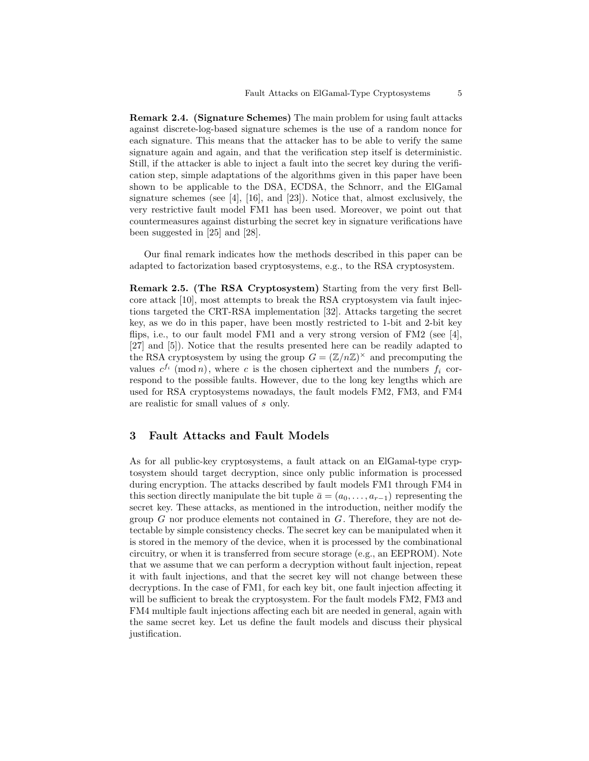**Remark 2.4. (Signature Schemes)** The main problem for using fault attacks against discrete-log-based signature schemes is the use of a random nonce for each signature. This means that the attacker has to be able to verify the same signature again and again, and that the verification step itself is deterministic. Still, if the attacker is able to inject a fault into the secret key during the verification step, simple adaptations of the algorithms given in this paper have been shown to be applicable to the DSA, ECDSA, the Schnorr, and the ElGamal signature schemes (see  $[4]$ ,  $[16]$ , and  $[23]$ ). Notice that, almost exclusively, the very restrictive fault model FM1 has been used. Moreover, we point out that countermeasures against disturbing the secret key in signature verifications have been suggested in [25] and [28].

Our final remark indicates how the methods described in this paper can be adapted to factorization based cryptosystems, e.g., to the RSA cryptosystem.

**Remark 2.5. (The RSA Cryptosystem)** Starting from the very first Bellcore attack [10], most attempts to break the RSA cryptosystem via fault injections targeted the CRT-RSA implementation [32]. Attacks targeting the secret key, as we do in this paper, have been mostly restricted to 1-bit and 2-bit key flips, i.e., to our fault model FM1 and a very strong version of FM2 (see [4], [27] and [5]). Notice that the results presented here can be readily adapted to the RSA cryptosystem by using the group  $G = (\mathbb{Z}/n\mathbb{Z})^{\times}$  and precomputing the values  $c^{f_i}$  (mod *n*), where *c* is the chosen ciphertext and the numbers  $f_i$  correspond to the possible faults. However, due to the long key lengths which are used for RSA cryptosystems nowadays, the fault models FM2, FM3, and FM4 are realistic for small values of *s* only.

# **3 Fault Attacks and Fault Models**

As for all public-key cryptosystems, a fault attack on an ElGamal-type cryptosystem should target decryption, since only public information is processed during encryption. The attacks described by fault models FM1 through FM4 in this section directly manipulate the bit tuple  $\bar{a} = (a_0, \ldots, a_{r-1})$  representing the secret key. These attacks, as mentioned in the introduction, neither modify the group *G* nor produce elements not contained in *G*. Therefore, they are not detectable by simple consistency checks. The secret key can be manipulated when it is stored in the memory of the device, when it is processed by the combinational circuitry, or when it is transferred from secure storage (e.g., an EEPROM). Note that we assume that we can perform a decryption without fault injection, repeat it with fault injections, and that the secret key will not change between these decryptions. In the case of FM1, for each key bit, one fault injection affecting it will be sufficient to break the cryptosystem. For the fault models FM2, FM3 and FM4 multiple fault injections affecting each bit are needed in general, again with the same secret key. Let us define the fault models and discuss their physical justification.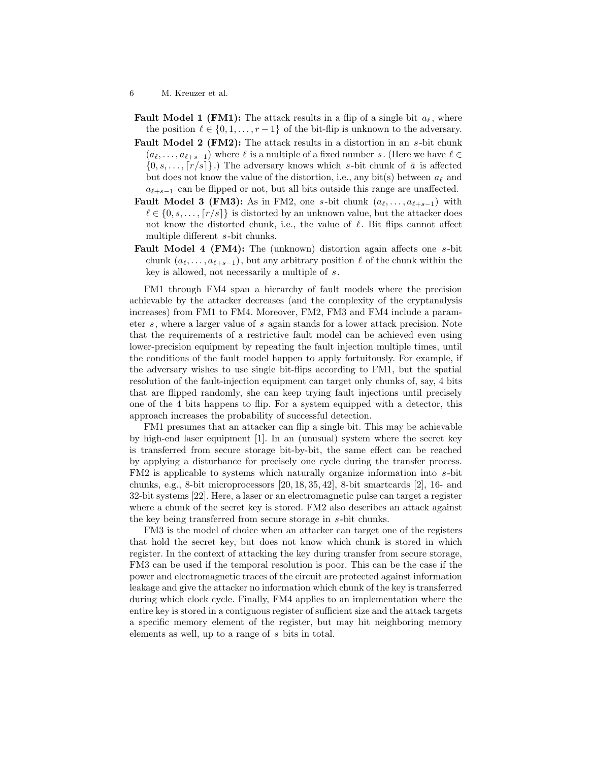- **Fault Model 1 (FM1):** The attack results in a flip of a single bit  $a_{\ell}$ , where the position  $\ell \in \{0, 1, \ldots, r-1\}$  of the bit-flip is unknown to the adversary.
- **Fault Model 2 (FM2):** The attack results in a distortion in an *s*-bit chunk  $(a_{\ell}, \ldots, a_{\ell+s-1})$  where  $\ell$  is a multiple of a fixed number *s*. (Here we have  $\ell \in$  $\{0, s, \ldots, \lceil r/s \rceil\}$ .) The adversary knows which *s*-bit chunk of  $\bar{a}$  is affected but does not know the value of the distortion, i.e., any bit(s) between *a<sup>ℓ</sup>* and *aℓ*+*s−*<sup>1</sup> can be flipped or not, but all bits outside this range are unaffected.
- **Fault Model 3 (FM3):** As in FM2, one *s*-bit chunk  $(a_\ell, \ldots, a_{\ell+s-1})$  with  $\ell \in \{0, s, \ldots, \lceil r/s \rceil\}$  is distorted by an unknown value, but the attacker does not know the distorted chunk, i.e., the value of *ℓ*. Bit flips cannot affect multiple different *s*-bit chunks.
- **Fault Model 4 (FM4):** The (unknown) distortion again affects one *s*-bit chunk  $(a_{\ell}, \ldots, a_{\ell+s-1})$ , but any arbitrary position  $\ell$  of the chunk within the key is allowed, not necessarily a multiple of *s*.

FM1 through FM4 span a hierarchy of fault models where the precision achievable by the attacker decreases (and the complexity of the cryptanalysis increases) from FM1 to FM4. Moreover, FM2, FM3 and FM4 include a parameter *s*, where a larger value of *s* again stands for a lower attack precision. Note that the requirements of a restrictive fault model can be achieved even using lower-precision equipment by repeating the fault injection multiple times, until the conditions of the fault model happen to apply fortuitously. For example, if the adversary wishes to use single bit-flips according to FM1, but the spatial resolution of the fault-injection equipment can target only chunks of, say, 4 bits that are flipped randomly, she can keep trying fault injections until precisely one of the 4 bits happens to flip. For a system equipped with a detector, this approach increases the probability of successful detection.

FM1 presumes that an attacker can flip a single bit. This may be achievable by high-end laser equipment [1]. In an (unusual) system where the secret key is transferred from secure storage bit-by-bit, the same effect can be reached by applying a disturbance for precisely one cycle during the transfer process. FM2 is applicable to systems which naturally organize information into *s*-bit chunks, e.g., 8-bit microprocessors [20, 18, 35, 42], 8-bit smartcards [2], 16- and 32-bit systems [22]. Here, a laser or an electromagnetic pulse can target a register where a chunk of the secret key is stored. FM2 also describes an attack against the key being transferred from secure storage in *s*-bit chunks.

FM3 is the model of choice when an attacker can target one of the registers that hold the secret key, but does not know which chunk is stored in which register. In the context of attacking the key during transfer from secure storage, FM3 can be used if the temporal resolution is poor. This can be the case if the power and electromagnetic traces of the circuit are protected against information leakage and give the attacker no information which chunk of the key is transferred during which clock cycle. Finally, FM4 applies to an implementation where the entire key is stored in a contiguous register of sufficient size and the attack targets a specific memory element of the register, but may hit neighboring memory elements as well, up to a range of *s* bits in total.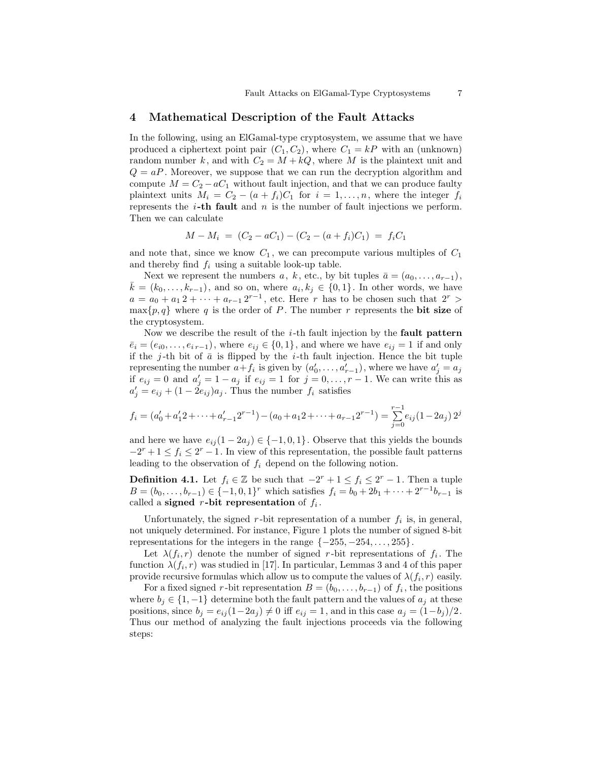### **4 Mathematical Description of the Fault Attacks**

In the following, using an ElGamal-type cryptosystem, we assume that we have produced a ciphertext point pair  $(C_1, C_2)$ , where  $C_1 = kP$  with an (unknown) random number k, and with  $C_2 = M + kQ$ , where M is the plaintext unit and  $Q = aP$ . Moreover, we suppose that we can run the decryption algorithm and compute  $M = C_2 - aC_1$  without fault injection, and that we can produce faulty plaintext units  $M_i = C_2 - (a + f_i)C_1$  for  $i = 1, \ldots, n$ , where the integer  $f_i$ represents the *i***-th fault** and *n* is the number of fault injections we perform. Then we can calculate

$$
M - M_i = (C_2 - aC_1) - (C_2 - (a + f_i)C_1) = f_i C_1
$$

and note that, since we know  $C_1$ , we can precompute various multiples of  $C_1$ and thereby find  $f_i$  using a suitable look-up table.

Next we represent the numbers  $a, k$ , etc., by bit tuples  $\bar{a} = (a_0, \ldots, a_{r-1}),$  $\bar{k} = (k_0, \ldots, k_{r-1})$ , and so on, where  $a_i, k_j \in \{0, 1\}$ . In other words, we have  $a = a_0 + a_1 2 + \cdots + a_{r-1} 2^{r-1}$ , etc. Here *r* has to be chosen such that  $2^r$  $\max\{p,q\}$  where *q* is the order of *P*. The number *r* represents the **bit size** of the cryptosystem.

Now we describe the result of the *i*-th fault injection by the **fault pattern**  $\overline{e}_i = (e_{i0}, \ldots, e_{i \r-1}),$  where  $e_{ij} \in \{0, 1\}$ , and where we have  $e_{ij} = 1$  if and only if the  $j$ -th bit of  $\bar{a}$  is flipped by the *i*-th fault injection. Hence the bit tuple representing the number  $a+f_i$  is given by  $(a'_0, \ldots, a'_{r-1})$ , where we have  $a'_j = a_j$ if  $e_{ij} = 0$  and  $a'_j = 1 - a_j$  if  $e_{ij} = 1$  for  $j = 0, \ldots, r - 1$ . We can write this as  $a'_{j} = e_{ij} + (1 - 2e_{ij})a_{j}$ . Thus the number  $f_{i}$  satisfies

$$
f_i = (a'_0 + a'_1 2 + \dots + a'_{r-1} 2^{r-1}) - (a_0 + a_1 2 + \dots + a_{r-1} 2^{r-1}) = \sum_{j=0}^{r-1} e_{ij} (1 - 2a_j) 2^j
$$

and here we have  $e_{ij}(1-2a_j) \in \{-1,0,1\}$ . Observe that this yields the bounds  $-2^{r} + 1 \le f_i \le 2^{r} - 1$ . In view of this representation, the possible fault patterns leading to the observation of *f<sup>i</sup>* depend on the following notion.

**Definition 4.1.** Let  $f_i \in \mathbb{Z}$  be such that  $-2^r + 1 \le f_i \le 2^r - 1$ . Then a tuple  $B = (b_0, \ldots, b_{r-1}) \in \{-1, 0, 1\}^r$  which satisfies  $f_i = b_0 + 2b_1 + \cdots + 2^{r-1}b_{r-1}$  is called a **signed**  $r$ -bit representation of  $f_i$ .

Unfortunately, the signed  $r$ -bit representation of a number  $f_i$  is, in general, not uniquely determined. For instance, Figure 1 plots the number of signed 8-bit representations for the integers in the range *{−*255*, −*254*, . . . ,* 255*}*.

Let  $\lambda(f_i, r)$  denote the number of signed *r*-bit representations of  $f_i$ . The function  $\lambda(f_i, r)$  was studied in [17]. In particular, Lemmas 3 and 4 of this paper provide recursive formulas which allow us to compute the values of  $\lambda(f_i, r)$  easily.

For a fixed signed *r*-bit representation  $B = (b_0, \ldots, b_{r-1})$  of  $f_i$ , the positions where  $b_j \in \{1, -1\}$  determine both the fault pattern and the values of  $a_j$  at these positions, since  $b_j = e_{ij}(1-2a_j) \neq 0$  iff  $e_{ij} = 1$ , and in this case  $a_j = (1-b_j)/2$ . Thus our method of analyzing the fault injections proceeds via the following steps: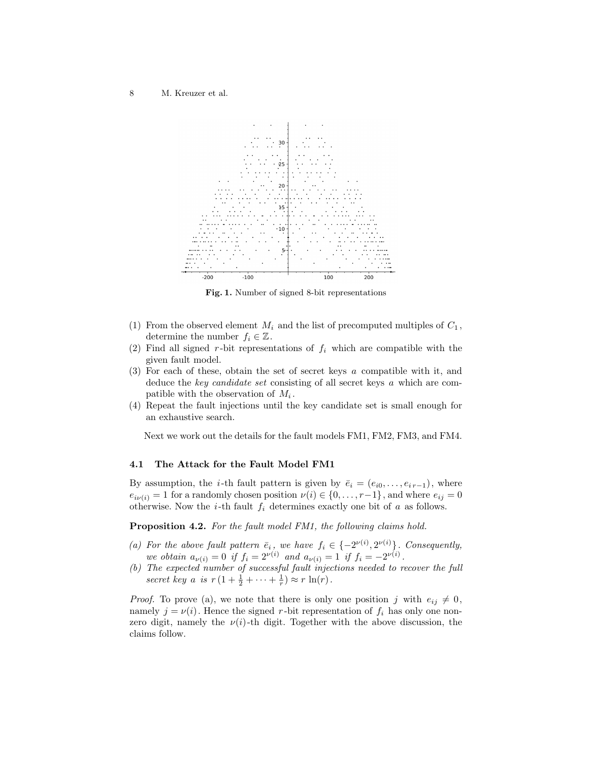

**Fig. 1.** Number of signed 8-bit representations

- (1) From the observed element  $M_i$  and the list of precomputed multiples of  $C_1$ , determine the number  $f_i \in \mathbb{Z}$ .
- (2) Find all signed  $r$ -bit representations of  $f_i$  which are compatible with the given fault model.
- (3) For each of these, obtain the set of secret keys *a* compatible with it, and deduce the *key candidate set* consisting of all secret keys *a* which are compatible with the observation of *M<sup>i</sup>* .
- (4) Repeat the fault injections until the key candidate set is small enough for an exhaustive search.

Next we work out the details for the fault models FM1, FM2, FM3, and FM4.

### **4.1 The Attack for the Fault Model FM1**

By assumption, the *i*-th fault pattern is given by  $\bar{e}_i = (e_{i0}, \ldots, e_{i r-1})$ , where  $e_{i\nu(i)} = 1$  for a randomly chosen position  $\nu(i) \in \{0, \ldots, r-1\}$ , and where  $e_{ij} = 0$ otherwise. Now the *i*-th fault *f<sup>i</sup>* determines exactly one bit of *a* as follows.

**Proposition 4.2.** *For the fault model FM1, the following claims hold.*

- *(a)* For the above fault pattern  $\bar{e}_i$ , we have  $f_i \in \{-2^{\nu(i)}, 2^{\nu(i)}\}$ . Consequently, *we obtain*  $a_{\nu(i)} = 0$  *if*  $f_i = 2^{\nu(i)}$  *and*  $a_{\nu(i)} = 1$  *if*  $f_i = -2^{\nu(i)}$ .
- *(b) The expected number of successful fault injections needed to recover the full secret key a is*  $r(1 + \frac{1}{2} + \cdots + \frac{1}{r}) \approx r \ln(r)$ .

*Proof.* To prove (a), we note that there is only one position *j* with  $e_{ij} \neq 0$ , namely  $j = \nu(i)$ . Hence the signed *r*-bit representation of  $f_i$  has only one nonzero digit, namely the  $\nu(i)$ -th digit. Together with the above discussion, the claims follow.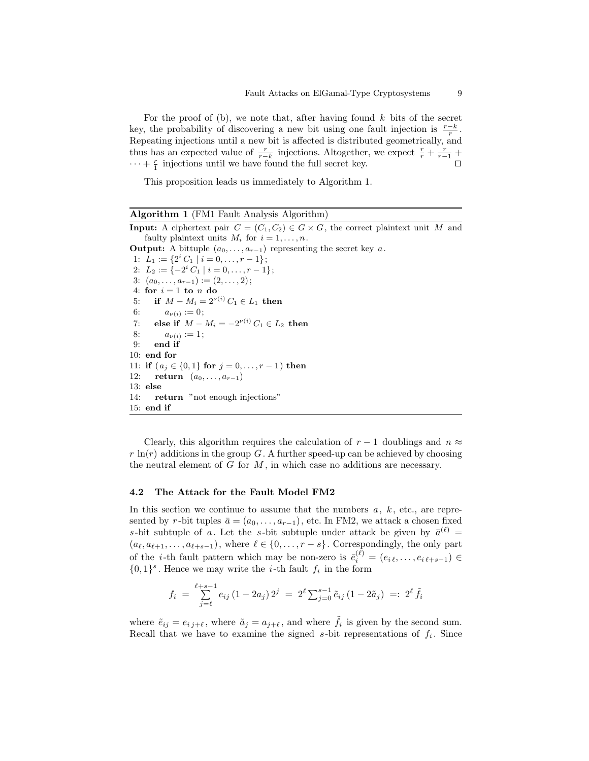For the proof of (b), we note that, after having found *k* bits of the secret key, the probability of discovering a new bit using one fault injection is  $\frac{r-k}{r}$ . Repeating injections until a new bit is affected is distributed geometrically, and thus has an expected value of  $\frac{r}{r-k}$  injections. Altogether, we expect  $\frac{r}{r} + \frac{r}{r-1}$ *·* · *· + r*<sub>1</sub> injections until we have found the full secret key. □

This proposition leads us immediately to Algorithm 1.

| <b>Algorithm 1</b> (FM1 Fault Analysis Algorithm)                                                  |
|----------------------------------------------------------------------------------------------------|
| <b>Input:</b> A ciphertext pair $C = (C_1, C_2) \in G \times G$ , the correct plaintext unit M and |
| faulty plaintext units $M_i$ for $i = 1, , n$ .                                                    |
| <b>Output:</b> A bittuple $(a_0, \ldots, a_{r-1})$ representing the secret key a.                  |
| 1: $L_1 := \{2^i C_1 \mid i = 0, \ldots, r-1\};$                                                   |
| 2: $L_2 := \{-2^i C_1 \mid i = 0, \ldots, r-1\};$                                                  |
| 3: $(a_0, \ldots, a_{r-1}) := (2, \ldots, 2)$ ;                                                    |
| 4: for $i=1$ to n do                                                                               |
| 5: if $M - M_i = 2^{\nu(i)} C_1 \in L_1$ then                                                      |
| 6: $a_{\nu(i)} := 0;$                                                                              |
| 7: else if $M - M_i = -2^{\nu(i)} C_1 \in L_2$ then                                                |
| 8: $a_{\nu(i)} := 1;$                                                                              |
| $9:$ end if                                                                                        |
| $10:$ end for                                                                                      |
| 11: if $(a_j \in \{0,1\}$ for $j = 0, \ldots, r-1)$ then                                           |
| 12: <b>return</b> $(a_0, , a_{r-1})$                                                               |
| $13:$ else                                                                                         |
| 14: return "not enough injections"                                                                 |
| $15:$ end if                                                                                       |

Clearly, this algorithm requires the calculation of  $r - 1$  doublings and  $n \approx$  $r \ln(r)$  additions in the group *G*. A further speed-up can be achieved by choosing the neutral element of *G* for *M* , in which case no additions are necessary.

### **4.2 The Attack for the Fault Model FM2**

In this section we continue to assume that the numbers *a*, *k* , etc., are represented by *r*-bit tuples  $\bar{a} = (a_0, \ldots, a_{r-1})$ , etc. In FM2, we attack a chosen fixed *s*-bit subtuple of *a*. Let the *s*-bit subtuple under attack be given by  $\bar{a}^{(\ell)}$  =  $(a_{\ell}, a_{\ell+1}, \ldots, a_{\ell+s-1}),$  where  $\ell \in \{0, \ldots, r-s\}.$  Correspondingly, the only part of the *i*-th fault pattern which may be non-zero is  $\bar{e}_i^{(\ell)} = (e_{i\ell}, \ldots, e_{i\ell+s-1}) \in$  $\{0,1\}$ <sup>s</sup>. Hence we may write the *i*-th fault  $f_i$  in the form

$$
f_i = \sum_{j=\ell}^{\ell+s-1} e_{ij} (1 - 2a_j) 2^j = 2^{\ell} \sum_{j=0}^{s-1} \tilde{e}_{ij} (1 - 2\tilde{a}_j) =: 2^{\ell} \tilde{f}_i
$$

where  $\tilde{e}_{ij} = e_{ij} + \ell$ , where  $\tilde{a}_j = a_{j} + \ell$ , and where  $\tilde{f}_i$  is given by the second sum. Recall that we have to examine the signed *s*-bit representations of *f<sup>i</sup>* . Since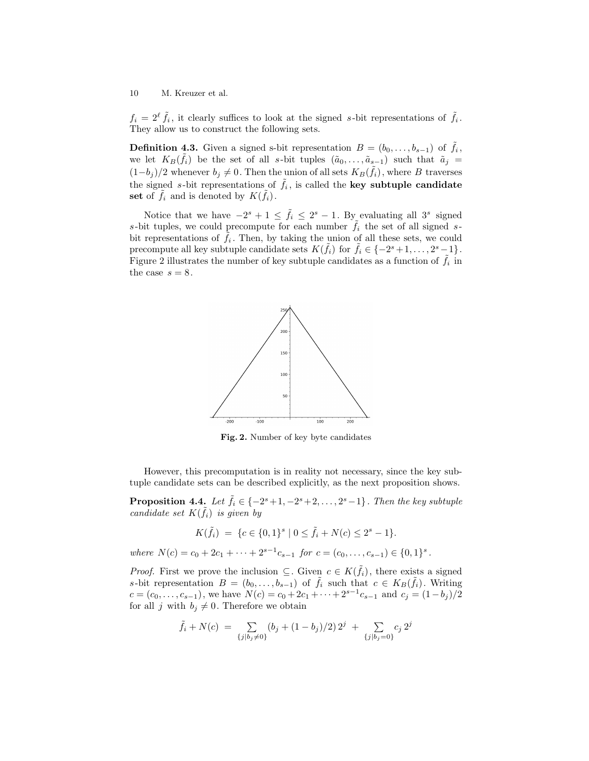$f_i = 2^{\ell} \tilde{f}_i$ , it clearly suffices to look at the signed *s*-bit representations of  $\tilde{f}_i$ . They allow us to construct the following sets.

**Definition 4.3.** Given a signed s-bit representation  $B = (b_0, \ldots, b_{s-1})$  of  $\tilde{f}_i$ , we let  $K_B(\tilde{f}_i)$  be the set of all *s*-bit tuples  $(\tilde{a}_0, \ldots, \tilde{a}_{s-1})$  such that  $\tilde{a}_j =$  $(1−b_j)/2$  whenever  $b_j \neq 0$ . Then the union of all sets  $K_B(\tilde{f}_i)$ , where *B* traverses the signed *s*-bit representations of  $\tilde{f}_i$ , is called the **key subtuple candidate set** of  $\tilde{f}_i$  and is denoted by  $K(\tilde{f}_i)$ .

Notice that we have  $-2^{s} + 1 \leq \tilde{f}_i \leq 2^{s} - 1$ . By evaluating all 3<sup>*s*</sup> signed *s*-bit tuples, we could precompute for each number  $\hat{f}_i$  the set of all signed *s*bit representations of  $\tilde{f}_i$ . Then, by taking the union of all these sets, we could precompute all key subtuple candidate sets  $K(\tilde{f}_i)$  for  $\tilde{f}_i \in \{-2^s + 1, \ldots, 2^s - 1\}$ . Figure 2 illustrates the number of key subtuple candidates as a function of  $\tilde{f}_i$  in the case  $s = 8$ .



**Fig. 2.** Number of key byte candidates

However, this precomputation is in reality not necessary, since the key subtuple candidate sets can be described explicitly, as the next proposition shows.

**Proposition 4.4.** *Let*  $\tilde{f}_i \in \{-2^s + 1, -2^s + 2, \ldots, 2^s - 1\}$ *. Then the key subtuple candidate set*  $K(\tilde{f}_i)$  *is given by* 

$$
K(\tilde{f}_i) = \{c \in \{0,1\}^s \mid 0 \le \tilde{f}_i + N(c) \le 2^s - 1\}.
$$

where  $N(c) = c_0 + 2c_1 + \cdots + 2^{s-1}c_{s-1}$  for  $c = (c_0, \ldots, c_{s-1}) \in \{0, 1\}^s$ .

*Proof.* First we prove the inclusion  $\subseteq$ . Given  $c \in K(\tilde{f}_i)$ , there exists a signed *s*-bit representation  $B = (b_0, \ldots, b_{s-1})$  of  $\tilde{f}_i$  such that  $c \in K_B(\tilde{f}_i)$ . Writing  $c = (c_0, \ldots, c_{s-1})$ , we have  $N(c) = c_0 + 2c_1 + \cdots + 2^{s-1}c_{s-1}$  and  $c_j = (1 - b_j)/2$ for all *j* with  $b_j \neq 0$ . Therefore we obtain

$$
\tilde{f}_i + N(c) = \sum_{\{j \mid b_j \neq 0\}} (b_j + (1 - b_j)/2) 2^j + \sum_{\{j \mid b_j = 0\}} c_j 2^j
$$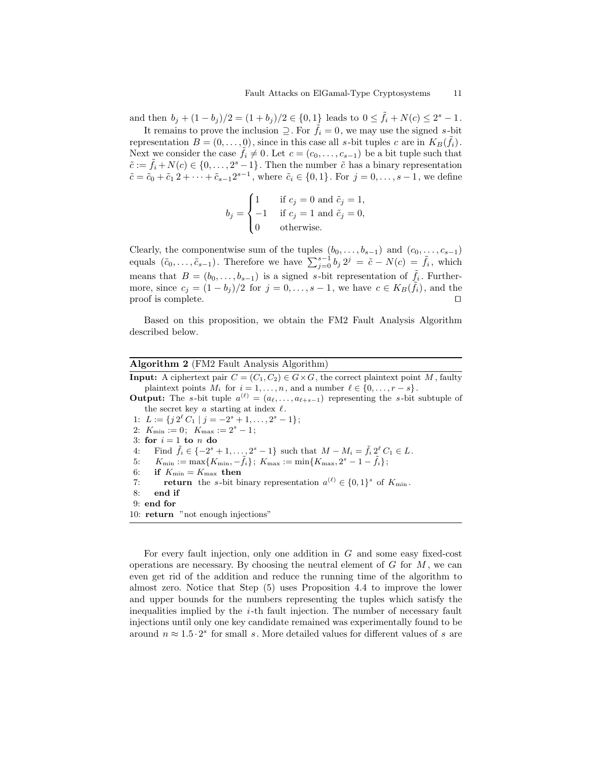and then  $b_j + (1 - b_j)/2 = (1 + b_j)/2 \in \{0, 1\}$  leads to  $0 \le \tilde{f}_i + N(c) \le 2^s - 1$ .

It remains to prove the inclusion  $\supseteq$ . For  $\hat{f}_i = 0$ , we may use the signed *s*-bit representation  $B = (0, \ldots, 0)$ , since in this case all *s*-bit tuples *c* are in  $K_B(\tilde{f}_i)$ . Next we consider the case  $\hat{f}_i \neq 0$ . Let  $c = (c_0, \ldots, c_{s-1})$  be a bit tuple such that  $\tilde{c} := \tilde{f}_i + N(c) \in \{0, \ldots, 2^s - 1\}$ . Then the number  $\tilde{c}$  has a binary representation  $\tilde{c} = \tilde{c}_0 + \tilde{c}_1 2 + \cdots + \tilde{c}_{s-1} 2^{s-1}$ , where  $\tilde{c}_i \in \{0, 1\}$ . For  $j = 0, \ldots, s-1$ , we define

$$
b_j = \begin{cases} 1 & \text{if } c_j = 0 \text{ and } \tilde{c}_j = 1, \\ -1 & \text{if } c_j = 1 \text{ and } \tilde{c}_j = 0, \\ 0 & \text{otherwise.} \end{cases}
$$

Clearly, the componentwise sum of the tuples  $(b_0, \ldots, b_{s-1})$  and  $(c_0, \ldots, c_{s-1})$ equals  $(\tilde{c}_0, \ldots, \tilde{c}_{s-1})$ . Therefore we have  $\sum_{j=0}^{s-1} b_j 2^j = \tilde{c} - N(c) = \tilde{f}_i$ , which means that  $B = (b_0, \ldots, b_{s-1})$  is a signed *s*-bit representation of  $\tilde{f}_i$ . Furthermore, since  $c_j = (1 - b_j)/2$  for  $j = 0, \ldots, s - 1$ , we have  $c \in K_B(\tilde{f}_i)$ , and the proof is complete. *⊓⊔*

Based on this proposition, we obtain the FM2 Fault Analysis Algorithm described below.

**Algorithm 2** (FM2 Fault Analysis Algorithm)

**Input:** A ciphertext pair  $C = (C_1, C_2) \in G \times G$ , the correct plaintext point *M*, faulty plaintext points  $M_i$  for  $i = 1, \ldots, n$ , and a number  $\ell \in \{0, \ldots, r - s\}$ .

**Output:** The *s*-bit tuple  $a^{(\ell)} = (a_{\ell}, \ldots, a_{\ell+s-1})$  representing the *s*-bit subtuple of the secret key *a* starting at index *ℓ* .

1:  $L := \{ j \, 2^{\ell} \, C_1 \mid j = -2^s + 1, \ldots, 2^s - 1 \};$ 

- 2:  $K_{\min} := 0; K_{\max} := 2^s 1;$
- 3: for  $i = 1$  to  $n$  do

4: Find  $\tilde{f}_i \in \{-2^s + 1, \ldots, 2^s - 1\}$  such that  $M - M_i = \tilde{f}_i 2^{\ell} C_1 \in L$ .

- $5:$   $K_{\min} := \max\{K_{\min}, -\tilde{f}_i\};\ K_{\max} := \min\{K_{\max}, 2^s 1 \tilde{f}_i\};$
- 6: **if**  $K_{\min} = K_{\max}$  then
- 7: **return** the *s*-bit binary representation  $a^{(\ell)} \in \{0,1\}^s$  of  $K_{\min}$ .

8: **end if**

9: **end for**

10: **return** "not enough injections"

For every fault injection, only one addition in *G* and some easy fixed-cost operations are necessary. By choosing the neutral element of *G* for *M* , we can even get rid of the addition and reduce the running time of the algorithm to almost zero. Notice that Step (5) uses Proposition 4.4 to improve the lower and upper bounds for the numbers representing the tuples which satisfy the inequalities implied by the *i*-th fault injection. The number of necessary fault injections until only one key candidate remained was experimentally found to be around  $n \approx 1.5 \cdot 2^s$  for small *s*. More detailed values for different values of *s* are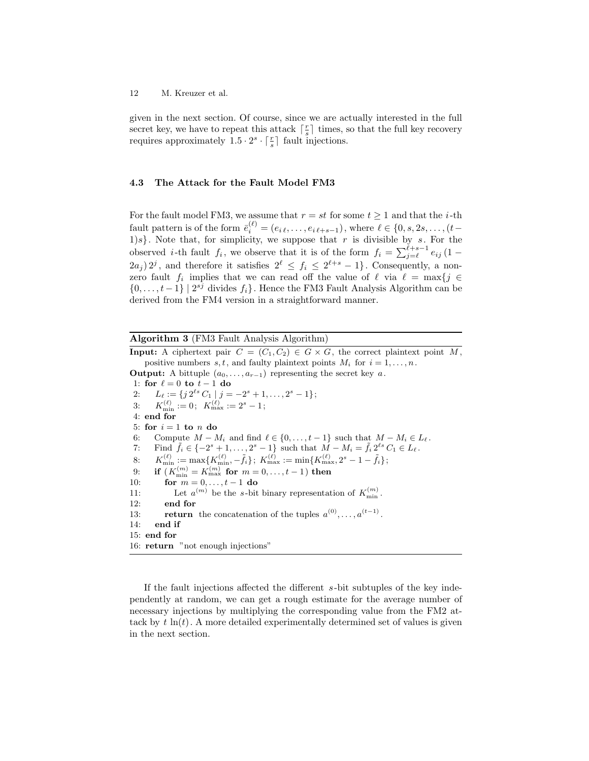given in the next section. Of course, since we are actually interested in the full secret key, we have to repeat this attack  $\lceil \frac{r}{s} \rceil$  times, so that the full key recovery requires approximately  $1.5 \cdot 2^s \cdot \lceil \frac{r}{s} \rceil$  fault injections.

### **4.3 The Attack for the Fault Model FM3**

For the fault model FM3, we assume that  $r = st$  for some  $t \ge 1$  and that the *i*-th  $\bar{e}^{i\ell}_{i} = (e_{i\ell}, \ldots, e_{i\ell+s-1}),$  where  $\ell \in \{0, s, 2s, \ldots, (t-s) \}$ 1)*s}*. Note that, for simplicity, we suppose that *r* is divisible by *s*. For the observed *i*-th fault  $f_i$ , we observe that it is of the form  $f_i = \sum_{j=\ell}^{\ell+s-1} e_{ij} (1-\ell)$  $(2a_j) 2^j$ , and therefore it satisfies  $2^{\ell} \le f_i \le 2^{\ell+s} - 1$ . Consequently, a nonzero fault  $f_i$  implies that we can read off the value of  $\ell$  via  $\ell = \max\{j \in$ *{*0*, . . . , t −* 1*} |* 2 *sj* divides *fi}*. Hence the FM3 Fault Analysis Algorithm can be derived from the FM4 version in a straightforward manner.

**Algorithm 3** (FM3 Fault Analysis Algorithm)

**Input:** A ciphertext pair  $C = (C_1, C_2) \in G \times G$ , the correct plaintext point *M*, positive numbers  $s, t$ , and faulty plaintext points  $M_i$  for  $i = 1, \ldots, n$ . **Output:** A bittuple  $(a_0, \ldots, a_{r-1})$  representing the secret key  $a$ . 1: **for**  $\ell = 0$  **to**  $t - 1$  **do** 2:  $L_{\ell} := \{ j \, 2^{\ell s} \, C_1 \mid j = -2^s + 1, \ldots, 2^s - 1 \};$ 3:  $K_{\min}^{(\ell)} := 0; \ \ K_{\max}^{(\ell)} := 2^s - 1;$ 4: **end for** 5: for  $i = 1$  to  $n$  do 6: Compute  $M - M_i$  and find  $\ell \in \{0, \ldots, t-1\}$  such that  $M - M_i \in L_{\ell}$ . 7: Find  $\tilde{f}_i \in \{-2^s + 1, \ldots, 2^s - 1\}$  such that  $M - M_i = \tilde{f}_i 2^{\ell s} C_1 \in L_\ell$ . 8:  $K_{\min}^{(\ell)} := \max\{K_{\min}^{(\ell)}, -\tilde{f}_i\};\;K_{\max}^{(\ell)} := \min\{K_{\max}^{(\ell)}, 2^s - 1 - \tilde{f}_i\};$ 9: **if**  $(K_{\min}^{(m)} = K_{\max}^{(m)}$  for  $m = 0, ..., t - 1)$  then 10: **for** *m* = 0*, . . . , t −* 1 **do** 11: Let  $a^{(m)}$  be the *s*-bit binary representation of  $K_{\min}^{(m)}$ . 12: **end for** 13: **return** the concatenation of the tuples  $a^{(0)}, \ldots, a^{(t-1)}$ . 14: **end if** 15: **end for** 16: **return** "not enough injections"

If the fault injections affected the different *s*-bit subtuples of the key independently at random, we can get a rough estimate for the average number of necessary injections by multiplying the corresponding value from the FM2 attack by  $t \ln(t)$ . A more detailed experimentally determined set of values is given in the next section.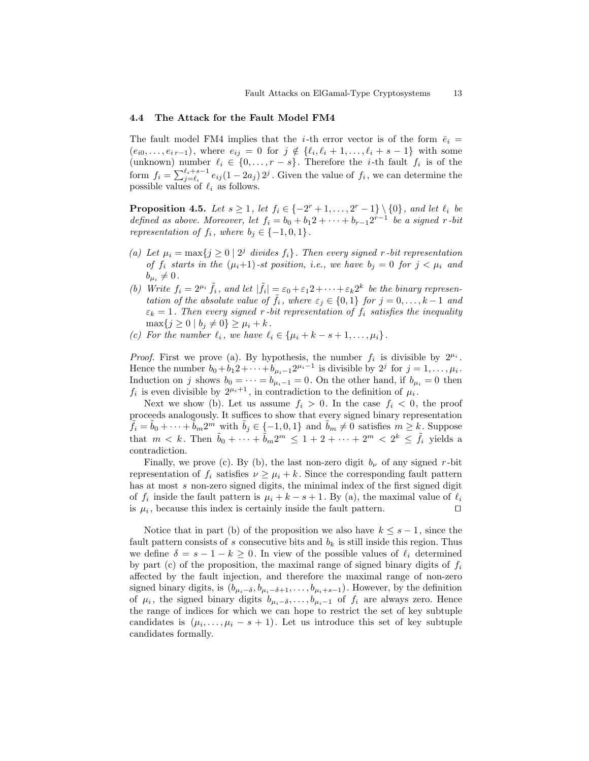### **4.4 The Attack for the Fault Model FM4**

The fault model FM4 implies that the *i*-th error vector is of the form  $\bar{e}_i$  =  $(e_{i0}, \ldots, e_{i,r-1})$ , where  $e_{ij} = 0$  for  $j \notin \{\ell_i, \ell_i + 1, \ldots, \ell_i + s - 1\}$  with some (unknown) number  $\ell_i \in \{0, \ldots, r - s\}$ . Therefore the *i*-th fault  $f_i$  is of the form  $f_i = \sum_{j=\ell_i}^{\ell_i+s-1} e_{ij} (1-2a_j) 2^j$ . Given the value of  $f_i$ , we can determine the possible values of  $\ell_i$  as follows.

**Proposition 4.5.** *Let*  $s \geq 1$ *, let*  $f_i \in \{-2^r + 1, ..., 2^r - 1\} \setminus \{0\}$ *, and let*  $\ell_i$  *be defined as above. Moreover, let*  $f_i = b_0 + b_1 2 + \cdots + b_{r-1} 2^{r-1}$  *be a signed r-bit representation of*  $f_i$ *, where*  $b_j \in \{-1, 0, 1\}$ *.* 

- *(a)* Let  $\mu_i = \max\{j \geq 0 \mid 2^j \text{ divides } f_i\}$ . Then every signed *r*-bit representation *of*  $f_i$  *starts in the*  $(\mu_i+1)$ *-st position, i.e., we have*  $b_j = 0$  *for*  $j < \mu_i$  *and*  $b_{\mu_i} \neq 0$ .
- *(b)* Write  $f_i = 2^{\mu_i} \tilde{f}_i$ , and let  $|\tilde{f}_i| = \varepsilon_0 + \varepsilon_1 2 + \cdots + \varepsilon_k 2^k$  be the binary represen*tation of the absolute value of*  $\tilde{f}_i$ *, where*  $\varepsilon_j \in \{0,1\}$  *for*  $j = 0, \ldots, k-1$  *and*  $\varepsilon_k = 1$ . Then every signed *r* -bit representation of  $f_i$  satisfies the inequality  $\max\{j \geq 0 \mid b_j \neq 0\} \geq \mu_i + k$ .
- *(c)* For the number  $\ell_i$ , we have  $\ell_i \in {\mu_i + k s + 1, ..., \mu_i}.$

*Proof.* First we prove (a). By hypothesis, the number  $f_i$  is divisible by  $2^{\mu_i}$ . Hence the number  $b_0 + b_1 2 + \cdots + b_{\mu_i - 1} 2^{\mu_i - 1}$  is divisible by  $2^j$  for  $j = 1, \ldots, \mu_i$ . Induction on *j* shows  $b_0 = \cdots = b_{\mu_i - 1} = 0$ . On the other hand, if  $b_{\mu_i} = 0$  then  $f_i$  is even divisible by  $2^{\mu_i+1}$ , in contradiction to the definition of  $\mu_i$ .

Next we show (b). Let us assume  $f_i > 0$ . In the case  $f_i < 0$ , the proof proceeds analogously. It suffices to show that every signed binary representation  $\tilde{f}_i = \tilde{b}_0 + \cdots + \tilde{b}_m 2^m$  with  $\tilde{b}_j \in \{-1, 0, 1\}$  and  $\tilde{b}_m \neq 0$  satisfies  $m \geq k$ . Suppose that  $m < k$ . Then  $\tilde{b}_0 + \cdots + \tilde{b}_m 2^m \leq 1 + 2 + \cdots + 2^m < 2^k \leq \tilde{f}_i$  yields a contradiction.

Finally, we prove (c). By (b), the last non-zero digit  $b_{\nu}$  of any signed *r*-bit representation of  $f_i$  satisfies  $\nu \geq \mu_i + k$ . Since the corresponding fault pattern has at most *s* non-zero signed digits, the minimal index of the first signed digit of  $f_i$  inside the fault pattern is  $\mu_i + k - s + 1$ . By (a), the maximal value of  $\ell_i$ is  $\mu_i$ , because this index is certainly inside the fault pattern.  $\Box$ 

Notice that in part (b) of the proposition we also have  $k \leq s-1$ , since the fault pattern consists of s consecutive bits and  $b_k$  is still inside this region. Thus we define  $\delta = s - 1 - k \geq 0$ . In view of the possible values of  $\ell_i$  determined by part (c) of the proposition, the maximal range of signed binary digits of  $f_i$ affected by the fault injection, and therefore the maximal range of non-zero signed binary digits, is  $(b_{\mu_i-\delta}, b_{\mu_i-\delta+1}, \ldots, b_{\mu_i+s-1})$ . However, by the definition of  $\mu_i$ , the signed binary digits  $b_{\mu_i-\delta}, \ldots, b_{\mu_i-1}$  of  $f_i$  are always zero. Hence the range of indices for which we can hope to restrict the set of key subtuple candidates is  $(\mu_i, \ldots, \mu_i - s + 1)$ . Let us introduce this set of key subtuple candidates formally.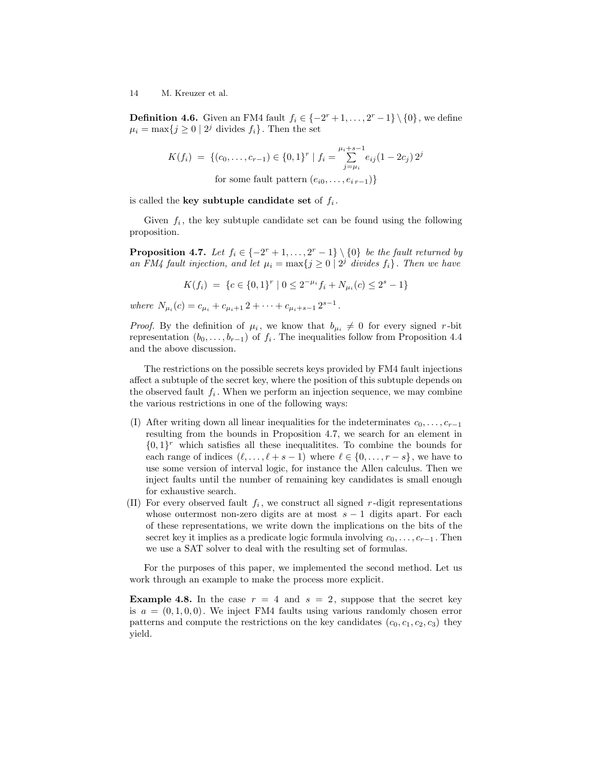**Definition 4.6.** Given an FM4 fault  $f_i \in \{-2^r + 1, \ldots, 2^r - 1\} \setminus \{0\}$ , we define  $\mu_i = \max\{j \geq 0 \mid 2^j \text{ divides } f_i\}.$  Then the set

$$
K(f_i) = \{(c_0, \dots, c_{r-1}) \in \{0, 1\}^r \mid f_i = \sum_{j=\mu_i}^{\mu_i + s - 1} e_{ij} (1 - 2c_j) 2^j
$$
  
for some fault pattern  $(e_{i0}, \dots, e_{i r - 1})\}$ 

is called the **key subtuple candidate set** of *f<sup>i</sup>* .

Given  $f_i$ , the key subtuple candidate set can be found using the following proposition.

**Proposition 4.7.** *Let*  $f_i \in \{-2^r + 1, \ldots, 2^r - 1\} \setminus \{0\}$  *be the fault returned by an FM4 fault injection, and let*  $\mu_i = \max\{j \geq 0 \mid 2^j \text{ divides } f_i\}$ . Then we have

$$
K(f_i) = \{c \in \{0,1\}^r \mid 0 \le 2^{-\mu_i} f_i + N_{\mu_i}(c) \le 2^s - 1\}
$$

*where*  $N_{\mu_i}(c) = c_{\mu_i} + c_{\mu_i+1} + 2 + \cdots + c_{\mu_i+s-1} + 2^{s-1}$ .

*Proof.* By the definition of  $\mu_i$ , we know that  $b_{\mu_i} \neq 0$  for every signed *r*-bit representation  $(b_0, \ldots, b_{r-1})$  of  $f_i$ . The inequalities follow from Proposition 4.4 and the above discussion.

The restrictions on the possible secrets keys provided by FM4 fault injections affect a subtuple of the secret key, where the position of this subtuple depends on the observed fault  $f_i$ . When we perform an injection sequence, we may combine the various restrictions in one of the following ways:

- (I) After writing down all linear inequalities for the indeterminates  $c_0, \ldots, c_{r-1}$ resulting from the bounds in Proposition 4.7, we search for an element in  $\{0,1\}^r$  which satisfies all these inequalitites. To combine the bounds for each range of indices  $(\ell, \ldots, \ell + s - 1)$  where  $\ell \in \{0, \ldots, r - s\}$ , we have to use some version of interval logic, for instance the Allen calculus. Then we inject faults until the number of remaining key candidates is small enough for exhaustive search.
- (II) For every observed fault  $f_i$ , we construct all signed  $r$ -digit representations whose outermost non-zero digits are at most *s −* 1 digits apart. For each of these representations, we write down the implications on the bits of the secret key it implies as a predicate logic formula involving  $c_0, \ldots, c_{r-1}$ . Then we use a SAT solver to deal with the resulting set of formulas.

For the purposes of this paper, we implemented the second method. Let us work through an example to make the process more explicit.

**Example 4.8.** In the case  $r = 4$  and  $s = 2$ , suppose that the secret key is  $a = (0, 1, 0, 0)$ . We inject FM4 faults using various randomly chosen error patterns and compute the restrictions on the key candidates  $(c_0, c_1, c_2, c_3)$  they yield.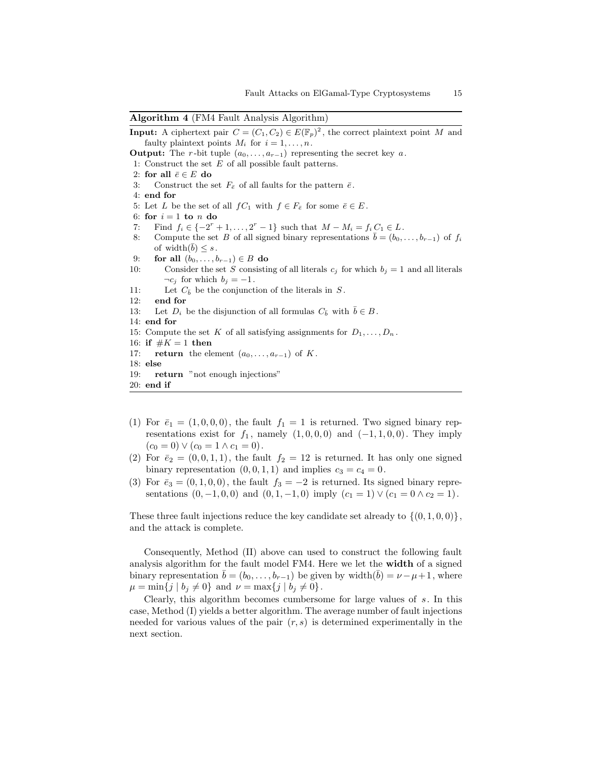#### **Algorithm 4** (FM4 Fault Analysis Algorithm)

**Input:** A ciphertext pair  $C = (C_1, C_2) \in E(\mathbb{F}_p)^2$ , the correct plaintext point *M* and faulty plaintext points  $M_i$  for  $i = 1, \ldots, n$ . **Output:** The *r*-bit tuple  $(a_0, \ldots, a_{r-1})$  representing the secret key *a*. 1: Construct the set *E* of all possible fault patterns. 2: for all  $\bar{e} \in E$  do 3: Construct the set  $F_{\bar{e}}$  of all faults for the pattern  $\bar{e}$ . 4: **end for** 5: Let *L* be the set of all  $fC_1$  with  $f \in F_{\bar{e}}$  for some  $\bar{e} \in E$ . 6: for  $i = 1$  to  $n$  do 7: Find  $f_i \in \{-2^r + 1, \ldots, 2^r - 1\}$  such that  $M - M_i = f_i C_1 \in L$ . 8: Compute the set *B* of all signed binary representations  $b = (b_0, \ldots, b_{r-1})$  of  $f_i$ of width $(\overline{b}) \leq s$ . 9: **for all**  $(b_0, \ldots, b_{r-1}) \in B$  **do**<br>10: Consider the set *S* consisting Consider the set *S* consisting of all literals  $c_j$  for which  $b_j = 1$  and all literals  $\neg c_j$  for which  $b_j = -1$ . 11: Let  $C_{\bar{b}}$  be the conjunction of the literals in *S*. 12: **end for** 13: Let  $D_i$  be the disjunction of all formulas  $C_{\bar{b}}$  with  $\bar{b} \in B$ . 14: **end for** 15: Compute the set *K* of all satisfying assignments for  $D_1, \ldots, D_n$ . 16: **if**  $#K = 1$  **then** 17: **return** the element  $(a_0, \ldots, a_{r-1})$  of K. 18: **else** 19: **return** "not enough injections" 20: **end if**

- (1) For  $\bar{e}_1 = (1, 0, 0, 0)$ , the fault  $f_1 = 1$  is returned. Two signed binary representations exist for  $f_1$ , namely  $(1,0,0,0)$  and  $(-1,1,0,0)$ . They imply  $(c_0 = 0) \vee (c_0 = 1 \wedge c_1 = 0).$
- (2) For  $\bar{e}_2 = (0, 0, 1, 1)$ , the fault  $f_2 = 12$  is returned. It has only one signed binary representation  $(0, 0, 1, 1)$  and implies  $c_3 = c_4 = 0$ .
- (3) For  $\bar{e}_3 = (0, 1, 0, 0)$ , the fault  $f_3 = -2$  is returned. Its signed binary representations  $(0, -1, 0, 0)$  and  $(0, 1, -1, 0)$  imply  $(c_1 = 1) \vee (c_1 = 0 \wedge c_2 = 1)$ .

These three fault injections reduce the key candidate set already to  $\{(0,1,0,0)\},\$ and the attack is complete.

Consequently, Method (II) above can used to construct the following fault analysis algorithm for the fault model FM4. Here we let the **width** of a signed binary representation  $b = (b_0, \ldots, b_{r-1})$  be given by width $(b) = \nu - \mu + 1$ , where  $\mu = \min\{j \mid b_j \neq 0\}$  and  $\nu = \max\{j \mid b_j \neq 0\}$ .

Clearly, this algorithm becomes cumbersome for large values of *s*. In this case, Method (I) yields a better algorithm. The average number of fault injections needed for various values of the pair (*r, s*) is determined experimentally in the next section.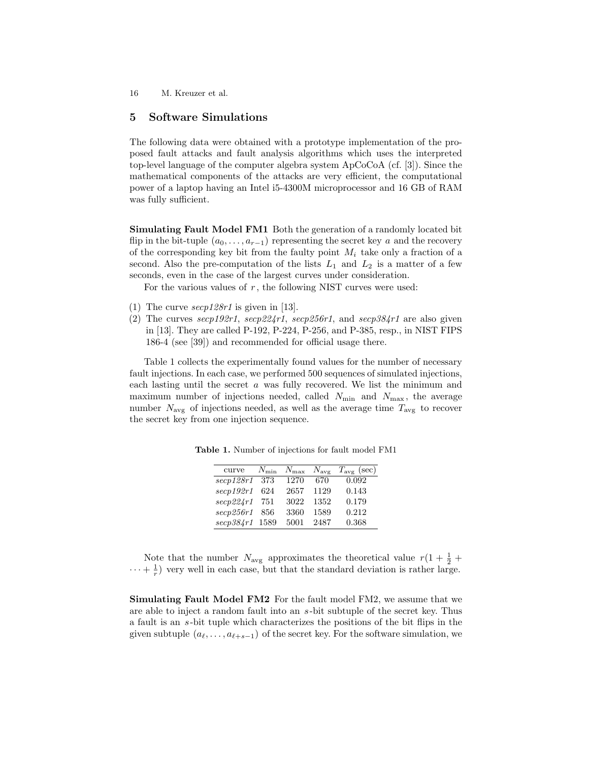# **5 Software Simulations**

The following data were obtained with a prototype implementation of the proposed fault attacks and fault analysis algorithms which uses the interpreted top-level language of the computer algebra system ApCoCoA (cf. [3]). Since the mathematical components of the attacks are very efficient, the computational power of a laptop having an Intel i5-4300M microprocessor and 16 GB of RAM was fully sufficient.

**Simulating Fault Model FM1** Both the generation of a randomly located bit flip in the bit-tuple  $(a_0, \ldots, a_{r-1})$  representing the secret key *a* and the recovery of the corresponding key bit from the faulty point *M<sup>i</sup>* take only a fraction of a second. Also the pre-computation of the lists  $L_1$  and  $L_2$  is a matter of a few seconds, even in the case of the largest curves under consideration.

For the various values of *r* , the following NIST curves were used:

- (1) The curve *secp128r1* is given in [13].
- (2) The curves *secp192r1*, *secp224r1*, *secp256r1*, and *secp384r1* are also given in [13]. They are called P-192, P-224, P-256, and P-385, resp., in NIST FIPS 186-4 (see [39]) and recommended for official usage there.

Table 1 collects the experimentally found values for the number of necessary fault injections. In each case, we performed 500 sequences of simulated injections, each lasting until the secret *a* was fully recovered. We list the minimum and maximum number of injections needed, called  $N_{\text{min}}$  and  $N_{\text{max}}$ , the average number  $N_{\text{avg}}$  of injections needed, as well as the average time  $T_{\text{avg}}$  to recover the secret key from one injection sequence.

| curve          | $N_{\rm min}$ |      |      | $N_{\text{max}}$ $N_{\text{avg}}$ $T_{\text{avg}}$ (sec) |
|----------------|---------------|------|------|----------------------------------------------------------|
| $\secp128r1$   | -373          | 1270 | 670  | 0.092                                                    |
| $\sec p192r1$  | 624           | 2657 | 1129 | 0.143                                                    |
| secp224r1      | 751           | 3022 | 1352 | 0.179                                                    |
| secp256r1      | 856           | 3360 | 1589 | 0.212                                                    |
| secp384r1 1589 |               | 5001 | 2487 | 0.368                                                    |

**Table 1.** Number of injections for fault model FM1

Note that the number  $N_{\text{avg}}$  approximates the theoretical value  $r(1 + \frac{1}{2} + \frac{1}{2})$  $\cdots + \frac{1}{r}$  very well in each case, but that the standard deviation is rather large.

**Simulating Fault Model FM2** For the fault model FM2, we assume that we are able to inject a random fault into an *s*-bit subtuple of the secret key. Thus a fault is an *s*-bit tuple which characterizes the positions of the bit flips in the given subtuple  $(a_\ell, \ldots, a_{\ell+s-1})$  of the secret key. For the software simulation, we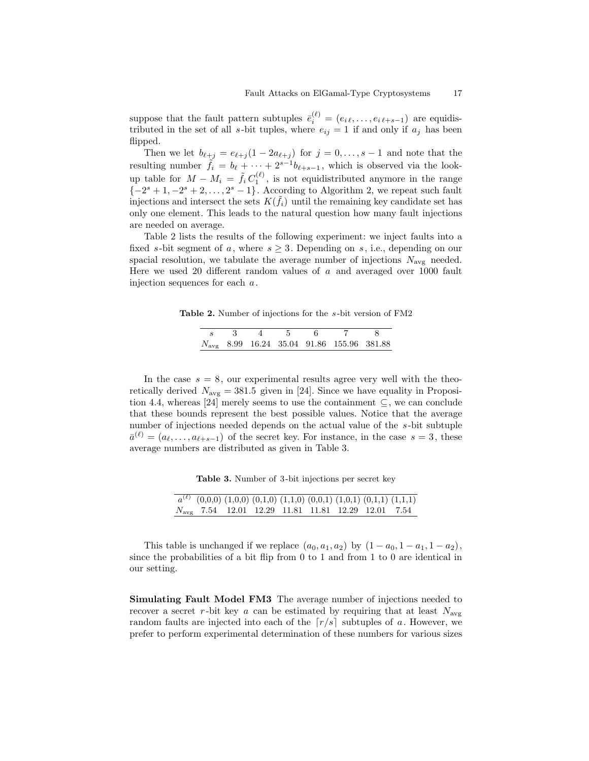suppose that the fault pattern subtuples  $\bar{e}_i^{(\ell)} = (e_{i\ell}, \ldots, e_{i\ell+s-1})$  are equidistributed in the set of all *s*-bit tuples, where  $e_{ij} = 1$  if and only if  $a_i$  has been flipped.

Then we let  $b_{\ell+j} = e_{\ell+j}(1 - 2a_{\ell+j})$  for  $j = 0, \ldots, s-1$  and note that the resulting number  $\tilde{f}_i = b_\ell + \cdots + 2^{s-1}b_{\ell+s-1}$ , which is observed via the lookup table for  $M - M_i = \tilde{f}_i C_1^{(\ell)}$ , is not equidistributed anymore in the range *{*−2<sup>*s*</sup> + 1*,* −2<sup>*s*</sup> + 2*, . . .* , 2<sup>*s*</sup> − 1}. According to Algorithm 2, we repeat such fault injections and intersect the sets  $K(\tilde{f}_i)$  until the remaining key candidate set has only one element. This leads to the natural question how many fault injections are needed on average.

Table 2 lists the results of the following experiment: we inject faults into a fixed *s*-bit segment of *a*, where  $s \geq 3$ . Depending on *s*, i.e., depending on our spacial resolution, we tabulate the average number of injections  $N_{\text{avg}}$  needed. Here we used 20 different random values of *a* and averaged over 1000 fault injection sequences for each *a*.

**Table 2.** Number of injections for the *s*-bit version of FM2

|  | $4 \quad 5 \quad 6$ |  |                                                       |  |
|--|---------------------|--|-------------------------------------------------------|--|
|  |                     |  | $N_{\text{avg}}$ 8.99 16.24 35.04 91.86 155.96 381.88 |  |

In the case  $s = 8$ , our experimental results agree very well with the theoretically derived  $N_{\text{avg}} = 381.5$  given in [24]. Since we have equality in Proposition 4.4, whereas [24] merely seems to use the containment *⊆*, we can conclude that these bounds represent the best possible values. Notice that the average number of injections needed depends on the actual value of the *s*-bit subtuple  $\bar{a}^{(\ell)} = (a_{\ell}, \ldots, a_{\ell+s-1})$  of the secret key. For instance, in the case  $s = 3$ , these average numbers are distributed as given in Table 3.

Table 3. Number of 3-bit injections per secret key

|  |  |  |  | $a^{(\ell)}$ $(0,0,0)$ $(1,0,0)$ $(0,1,0)$ $(1,1,0)$ $(0,0,1)$ $(1,0,1)$ $(0,1,1)$ $(1,1,1)$ |
|--|--|--|--|----------------------------------------------------------------------------------------------|
|  |  |  |  | $N_{\text{avg}}$ 7.54 12.01 12.29 11.81 11.81 12.29 12.01 7.54                               |

This table is unchanged if we replace  $(a_0, a_1, a_2)$  by  $(1 - a_0, 1 - a_1, 1 - a_2)$ , since the probabilities of a bit flip from 0 to 1 and from 1 to 0 are identical in our setting.

**Simulating Fault Model FM3** The average number of injections needed to recover a secret *r*-bit key *a* can be estimated by requiring that at least  $N_{\text{avg}}$ random faults are injected into each of the  $\lceil r/s \rceil$  subtuples of a. However, we prefer to perform experimental determination of these numbers for various sizes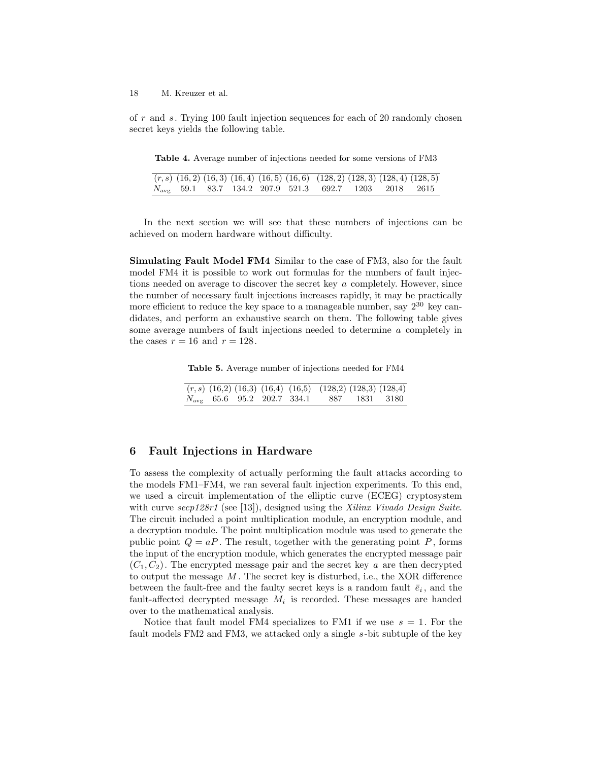of *r* and *s*. Trying 100 fault injection sequences for each of 20 randomly chosen secret keys yields the following table.

**Table 4.** Average number of injections needed for some versions of FM3

|  |  |  | $\overline{(r,s) (16,2) (16,3) (16,4) (16,5) (16,6) (128,2) (128,3) (128,4) (128,5)}$ |  |  |
|--|--|--|---------------------------------------------------------------------------------------|--|--|
|  |  |  | $N_{\text{avg}}$ 59.1 83.7 134.2 207.9 521.3 692.7 1203 2018 2615                     |  |  |

In the next section we will see that these numbers of injections can be achieved on modern hardware without difficulty.

**Simulating Fault Model FM4** Similar to the case of FM3, also for the fault model FM4 it is possible to work out formulas for the numbers of fault injections needed on average to discover the secret key *a* completely. However, since the number of necessary fault injections increases rapidly, it may be practically more efficient to reduce the key space to a manageable number, say  $2^{30}$  key candidates, and perform an exhaustive search on them. The following table gives some average numbers of fault injections needed to determine *a* completely in the cases  $r = 16$  and  $r = 128$ .

**Table 5.** Average number of injections needed for FM4

|  |  | $(r, s)$ (16,2) (16,3) (16,4) (16,5) (128,2) (128,3) (128,4) |  |
|--|--|--------------------------------------------------------------|--|
|  |  | $N_{\text{avg}}$ 65.6 95.2 202.7 334.1 887 1831 3180         |  |

## **6 Fault Injections in Hardware**

To assess the complexity of actually performing the fault attacks according to the models FM1–FM4, we ran several fault injection experiments. To this end, we used a circuit implementation of the elliptic curve (ECEG) cryptosystem with curve *secp128r1* (see [13]), designed using the *Xilinx Vivado Design Suite*. The circuit included a point multiplication module, an encryption module, and a decryption module. The point multiplication module was used to generate the public point  $Q = aP$ . The result, together with the generating point  $P$ , forms the input of the encryption module, which generates the encrypted message pair  $(C_1, C_2)$ . The encrypted message pair and the secret key *a* are then decrypted to output the message *M* . The secret key is disturbed, i.e., the XOR difference between the fault-free and the faulty secret keys is a random fault  $\bar{e}_i$ , and the fault-affected decrypted message  $M_i$  is recorded. These messages are handed over to the mathematical analysis.

Notice that fault model FM4 specializes to FM1 if we use  $s = 1$ . For the fault models FM2 and FM3, we attacked only a single *s*-bit subtuple of the key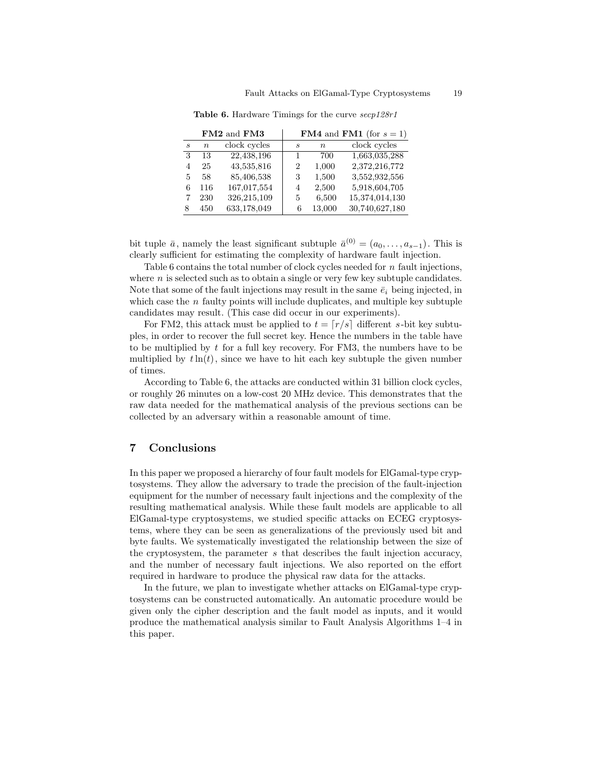|                             |                  | FM2 and FM3  |                |                  | <b>FM4</b> and <b>FM1</b> (for $s = 1$ ) |
|-----------------------------|------------------|--------------|----------------|------------------|------------------------------------------|
| $\mathcal{S}_{\mathcal{S}}$ | $\boldsymbol{n}$ | clock cycles | S              | $\boldsymbol{n}$ | clock cycles                             |
| 3                           | 13               | 22,438,196   |                | 700              | 1,663,035,288                            |
| 4                           | 25               | 43,535,816   | $\overline{2}$ | 1,000            | 2,372,216,772                            |
| 5                           | 58               | 85,406,538   | 3              | 1,500            | 3,552,932,556                            |
| 6                           | 116              | 167,017,554  | 4              | 2,500            | 5,918,604,705                            |
|                             | 230              | 326,215,109  | 5              | 6,500            | 15,374,014,130                           |
|                             | 450              | 633,178,049  | 6              | 13,000           | 30,740,627,180                           |

**Table 6.** Hardware Timings for the curve *secp128r1*

bit tuple  $\bar{a}$ , namely the least significant subtuple  $\bar{a}^{(0)} = (a_0, \ldots, a_{s-1})$ . This is clearly sufficient for estimating the complexity of hardware fault injection.

Table 6 contains the total number of clock cycles needed for *n* fault injections, where *n* is selected such as to obtain a single or very few key subtuple candidates. Note that some of the fault injections may result in the same  $\bar{e}_i$  being injected, in which case the *n* faulty points will include duplicates, and multiple key subtuple candidates may result. (This case did occur in our experiments).

For FM2, this attack must be applied to  $t = \lceil r/s \rceil$  different *s*-bit key subtuples, in order to recover the full secret key. Hence the numbers in the table have to be multiplied by *t* for a full key recovery. For FM3, the numbers have to be multiplied by  $t\ln(t)$ , since we have to hit each key subtuple the given number of times.

According to Table 6, the attacks are conducted within 31 billion clock cycles, or roughly 26 minutes on a low-cost 20 MHz device. This demonstrates that the raw data needed for the mathematical analysis of the previous sections can be collected by an adversary within a reasonable amount of time.

# **7 Conclusions**

In this paper we proposed a hierarchy of four fault models for ElGamal-type cryptosystems. They allow the adversary to trade the precision of the fault-injection equipment for the number of necessary fault injections and the complexity of the resulting mathematical analysis. While these fault models are applicable to all ElGamal-type cryptosystems, we studied specific attacks on ECEG cryptosystems, where they can be seen as generalizations of the previously used bit and byte faults. We systematically investigated the relationship between the size of the cryptosystem, the parameter *s* that describes the fault injection accuracy, and the number of necessary fault injections. We also reported on the effort required in hardware to produce the physical raw data for the attacks.

In the future, we plan to investigate whether attacks on ElGamal-type cryptosystems can be constructed automatically. An automatic procedure would be given only the cipher description and the fault model as inputs, and it would produce the mathematical analysis similar to Fault Analysis Algorithms 1–4 in this paper.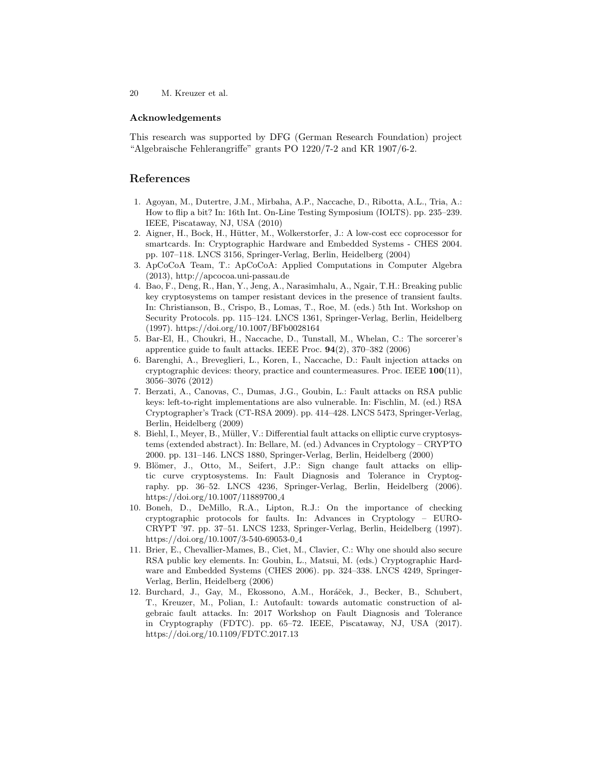#### **Acknowledgements**

This research was supported by DFG (German Research Foundation) project "Algebraische Fehlerangriffe" grants PO 1220/7-2 and KR 1907/6-2.

# **References**

- 1. Agoyan, M., Dutertre, J.M., Mirbaha, A.P., Naccache, D., Ribotta, A.L., Tria, A.: How to flip a bit? In: 16th Int. On-Line Testing Symposium (IOLTS). pp. 235–239. IEEE, Piscataway, NJ, USA (2010)
- 2. Aigner, H., Bock, H., Hütter, M., Wolkerstorfer, J.: A low-cost ecc coprocessor for smartcards. In: Cryptographic Hardware and Embedded Systems - CHES 2004. pp. 107–118. LNCS 3156, Springer-Verlag, Berlin, Heidelberg (2004)
- 3. ApCoCoA Team, T.: ApCoCoA: Applied Computations in Computer Algebra (2013), http://apcocoa.uni-passau.de
- 4. Bao, F., Deng, R., Han, Y., Jeng, A., Narasimhalu, A., Ngair, T.H.: Breaking public key cryptosystems on tamper resistant devices in the presence of transient faults. In: Christianson, B., Crispo, B., Lomas, T., Roe, M. (eds.) 5th Int. Workshop on Security Protocols. pp. 115–124. LNCS 1361, Springer-Verlag, Berlin, Heidelberg (1997). https://doi.org/10.1007/BFb0028164
- 5. Bar-El, H., Choukri, H., Naccache, D., Tunstall, M., Whelan, C.: The sorcerer's apprentice guide to fault attacks. IEEE Proc. **94**(2), 370–382 (2006)
- 6. Barenghi, A., Breveglieri, L., Koren, I., Naccache, D.: Fault injection attacks on cryptographic devices: theory, practice and countermeasures. Proc. IEEE **100**(11), 3056–3076 (2012)
- 7. Berzati, A., Canovas, C., Dumas, J.G., Goubin, L.: Fault attacks on RSA public keys: left-to-right implementations are also vulnerable. In: Fischlin, M. (ed.) RSA Cryptographer's Track (CT-RSA 2009). pp. 414–428. LNCS 5473, Springer-Verlag, Berlin, Heidelberg (2009)
- 8. Biehl, I., Meyer, B., Müller, V.: Differential fault attacks on elliptic curve cryptosystems (extended abstract). In: Bellare, M. (ed.) Advances in Cryptology – CRYPTO 2000. pp. 131–146. LNCS 1880, Springer-Verlag, Berlin, Heidelberg (2000)
- 9. Blömer, J., Otto, M., Seifert, J.P.: Sign change fault attacks on elliptic curve cryptosystems. In: Fault Diagnosis and Tolerance in Cryptography. pp. 36–52. LNCS 4236, Springer-Verlag, Berlin, Heidelberg (2006). https://doi.org/10.1007/11889700 4
- 10. Boneh, D., DeMillo, R.A., Lipton, R.J.: On the importance of checking cryptographic protocols for faults. In: Advances in Cryptology – EURO-CRYPT '97. pp. 37–51. LNCS 1233, Springer-Verlag, Berlin, Heidelberg (1997). https://doi.org/10.1007/3-540-69053-0 4
- 11. Brier, E., Chevallier-Mames, B., Ciet, M., Clavier, C.: Why one should also secure RSA public key elements. In: Goubin, L., Matsui, M. (eds.) Cryptographic Hardware and Embedded Systems (CHES 2006). pp. 324–338. LNCS 4249, Springer-Verlag, Berlin, Heidelberg (2006)
- 12. Burchard, J., Gay, M., Ekossono, A.M., Horáček, J., Becker, B., Schubert, T., Kreuzer, M., Polian, I.: Autofault: towards automatic construction of algebraic fault attacks. In: 2017 Workshop on Fault Diagnosis and Tolerance in Cryptography (FDTC). pp. 65–72. IEEE, Piscataway, NJ, USA (2017). https://doi.org/10.1109/FDTC.2017.13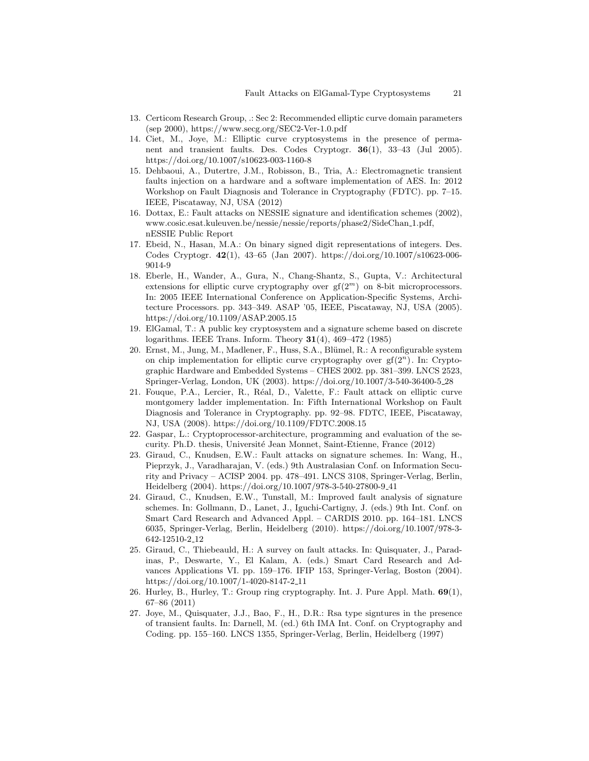- 13. Certicom Research Group, .: Sec 2: Recommended elliptic curve domain parameters (sep 2000), https://www.secg.org/SEC2-Ver-1.0.pdf
- 14. Ciet, M., Joye, M.: Elliptic curve cryptosystems in the presence of permanent and transient faults. Des. Codes Cryptogr. **36**(1), 33–43 (Jul 2005). https://doi.org/10.1007/s10623-003-1160-8
- 15. Dehbaoui, A., Dutertre, J.M., Robisson, B., Tria, A.: Electromagnetic transient faults injection on a hardware and a software implementation of AES. In: 2012 Workshop on Fault Diagnosis and Tolerance in Cryptography (FDTC). pp. 7–15. IEEE, Piscataway, NJ, USA (2012)
- 16. Dottax, E.: Fault attacks on NESSIE signature and identification schemes (2002), www.cosic.esat.kuleuven.be/nessie/nessie/reports/phase2/SideChan 1.pdf, nESSIE Public Report
- 17. Ebeid, N., Hasan, M.A.: On binary signed digit representations of integers. Des. Codes Cryptogr. **42**(1), 43–65 (Jan 2007). https://doi.org/10.1007/s10623-006- 9014-9
- 18. Eberle, H., Wander, A., Gura, N., Chang-Shantz, S., Gupta, V.: Architectural extensions for elliptic curve cryptography over gf(2*<sup>m</sup>*) on 8-bit microprocessors. In: 2005 IEEE International Conference on Application-Specific Systems, Architecture Processors. pp. 343–349. ASAP '05, IEEE, Piscataway, NJ, USA (2005). https://doi.org/10.1109/ASAP.2005.15
- 19. ElGamal, T.: A public key cryptosystem and a signature scheme based on discrete logarithms. IEEE Trans. Inform. Theory **31**(4), 469–472 (1985)
- 20. Ernst, M., Jung, M., Madlener, F., Huss, S.A., Blümel, R.: A reconfigurable system on chip implementation for elliptic curve cryptography over  $gf(2^n)$ . In: Cryptographic Hardware and Embedded Systems – CHES 2002. pp. 381–399. LNCS 2523, Springer-Verlag, London, UK (2003). https://doi.org/10.1007/3-540-36400-5 28
- 21. Fouque, P.A., Lercier, R., R´eal, D., Valette, F.: Fault attack on elliptic curve montgomery ladder implementation. In: Fifth International Workshop on Fault Diagnosis and Tolerance in Cryptography. pp. 92–98. FDTC, IEEE, Piscataway, NJ, USA (2008). https://doi.org/10.1109/FDTC.2008.15
- 22. Gaspar, L.: Cryptoprocessor-architecture, programming and evaluation of the security. Ph.D. thesis, Université Jean Monnet, Saint-Etienne, France (2012)
- 23. Giraud, C., Knudsen, E.W.: Fault attacks on signature schemes. In: Wang, H., Pieprzyk, J., Varadharajan, V. (eds.) 9th Australasian Conf. on Information Security and Privacy – ACISP 2004. pp. 478–491. LNCS 3108, Springer-Verlag, Berlin, Heidelberg (2004). https://doi.org/10.1007/978-3-540-27800-9 41
- 24. Giraud, C., Knudsen, E.W., Tunstall, M.: Improved fault analysis of signature schemes. In: Gollmann, D., Lanet, J., Iguchi-Cartigny, J. (eds.) 9th Int. Conf. on Smart Card Research and Advanced Appl. – CARDIS 2010. pp. 164–181. LNCS 6035, Springer-Verlag, Berlin, Heidelberg (2010). https://doi.org/10.1007/978-3- 642-12510-2 12
- 25. Giraud, C., Thiebeauld, H.: A survey on fault attacks. In: Quisquater, J., Paradinas, P., Deswarte, Y., El Kalam, A. (eds.) Smart Card Research and Advances Applications VI. pp. 159–176. IFIP 153, Springer-Verlag, Boston (2004). https://doi.org/10.1007/1-4020-8147-2 11
- 26. Hurley, B., Hurley, T.: Group ring cryptography. Int. J. Pure Appl. Math. **69**(1), 67–86 (2011)
- 27. Joye, M., Quisquater, J.J., Bao, F., H., D.R.: Rsa type signtures in the presence of transient faults. In: Darnell, M. (ed.) 6th IMA Int. Conf. on Cryptography and Coding. pp. 155–160. LNCS 1355, Springer-Verlag, Berlin, Heidelberg (1997)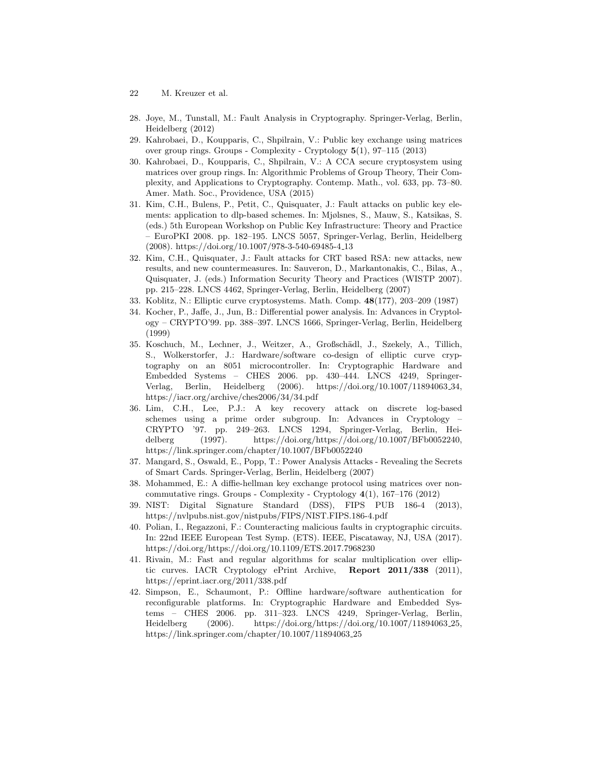- 22 M. Kreuzer et al.
- 28. Joye, M., Tunstall, M.: Fault Analysis in Cryptography. Springer-Verlag, Berlin, Heidelberg (2012)
- 29. Kahrobaei, D., Koupparis, C., Shpilrain, V.: Public key exchange using matrices over group rings. Groups - Complexity - Cryptology **5**(1), 97–115 (2013)
- 30. Kahrobaei, D., Koupparis, C., Shpilrain, V.: A CCA secure cryptosystem using matrices over group rings. In: Algorithmic Problems of Group Theory, Their Complexity, and Applications to Cryptography. Contemp. Math., vol. 633, pp. 73–80. Amer. Math. Soc., Providence, USA (2015)
- 31. Kim, C.H., Bulens, P., Petit, C., Quisquater, J.: Fault attacks on public key elements: application to dlp-based schemes. In: Mjølsnes, S., Mauw, S., Katsikas, S. (eds.) 5th European Workshop on Public Key Infrastructure: Theory and Practice – EuroPKI 2008. pp. 182–195. LNCS 5057, Springer-Verlag, Berlin, Heidelberg (2008). https://doi.org/10.1007/978-3-540-69485-4 13
- 32. Kim, C.H., Quisquater, J.: Fault attacks for CRT based RSA: new attacks, new results, and new countermeasures. In: Sauveron, D., Markantonakis, C., Bilas, A., Quisquater, J. (eds.) Information Security Theory and Practices (WISTP 2007). pp. 215–228. LNCS 4462, Springer-Verlag, Berlin, Heidelberg (2007)
- 33. Koblitz, N.: Elliptic curve cryptosystems. Math. Comp. **48**(177), 203–209 (1987)
- 34. Kocher, P., Jaffe, J., Jun, B.: Differential power analysis. In: Advances in Cryptology – CRYPTO'99. pp. 388–397. LNCS 1666, Springer-Verlag, Berlin, Heidelberg (1999)
- 35. Koschuch, M., Lechner, J., Weitzer, A., Großschädl, J., Szekely, A., Tillich, S., Wolkerstorfer, J.: Hardware/software co-design of elliptic curve cryptography on an 8051 microcontroller. In: Cryptographic Hardware and Embedded Systems – CHES 2006. pp. 430–444. LNCS 4249, Springer-Verlag, Berlin, Heidelberg (2006). https://doi.org/10.1007/11894063 34, https://iacr.org/archive/ches2006/34/34.pdf
- 36. Lim, C.H., Lee, P.J.: A key recovery attack on discrete log-based schemes using a prime order subgroup. In: Advances in Cryptology – CRYPTO '97. pp. 249–263. LNCS 1294, Springer-Verlag, Berlin, Heidelberg (1997). https://doi.org/https://doi.org/10.1007/BFb0052240, https://link.springer.com/chapter/10.1007/BFb0052240
- 37. Mangard, S., Oswald, E., Popp, T.: Power Analysis Attacks Revealing the Secrets of Smart Cards. Springer-Verlag, Berlin, Heidelberg (2007)
- 38. Mohammed, E.: A diffie-hellman key exchange protocol using matrices over noncommutative rings. Groups - Complexity - Cryptology **4**(1), 167–176 (2012)
- 39. NIST: Digital Signature Standard (DSS), FIPS PUB 186-4 (2013), https://nvlpubs.nist.gov/nistpubs/FIPS/NIST.FIPS.186-4.pdf
- 40. Polian, I., Regazzoni, F.: Counteracting malicious faults in cryptographic circuits. In: 22nd IEEE European Test Symp. (ETS). IEEE, Piscataway, NJ, USA (2017). https://doi.org/https://doi.org/10.1109/ETS.2017.7968230
- 41. Rivain, M.: Fast and regular algorithms for scalar multiplication over elliptic curves. IACR Cryptology ePrint Archive, **Report 2011/338** (2011), https://eprint.iacr.org/2011/338.pdf
- 42. Simpson, E., Schaumont, P.: Offline hardware/software authentication for reconfigurable platforms. In: Cryptographic Hardware and Embedded Systems – CHES 2006. pp. 311–323. LNCS 4249, Springer-Verlag, Berlin, Heidelberg (2006). https://doi.org/https://doi.org/10.1007/11894063 25, https://link.springer.com/chapter/10.1007/11894063 25